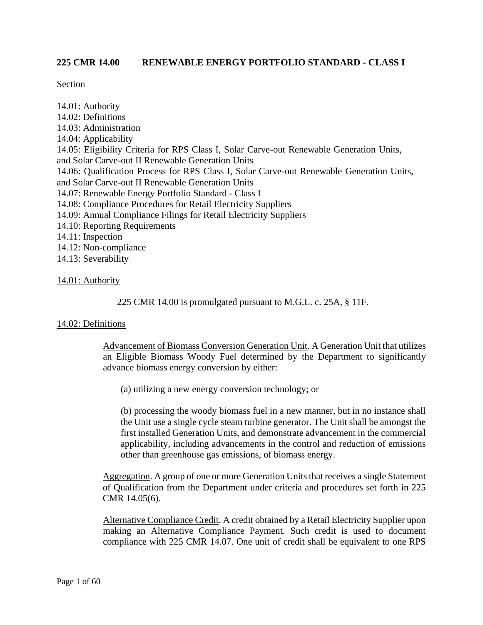### **225 CMR 14.00 RENEWABLE ENERGY PORTFOLIO STANDARD - CLASS I**

Section

14.01: Authority 14.02: Definitions 14.03: Administration 14.04: Applicability 14.05: Eligibility Criteria for RPS Class I, Solar Carve-out Renewable Generation Units, and Solar Carve-out II Renewable Generation Units 14.06: Qualification Process for RPS Class I, Solar Carve-out Renewable Generation Units, and Solar Carve-out II Renewable Generation Units 14.07: Renewable Energy Portfolio Standard - Class I 14.08: Compliance Procedures for Retail Electricity Suppliers 14.09: Annual Compliance Filings for Retail Electricity Suppliers 14.10: Reporting Requirements 14.11: Inspection 14.12: Non-compliance 14.13: Severability

#### 14.01: Authority

225 CMR 14.00 is promulgated pursuant to M.G.L. c. 25A, § 11F.

## 14.02: Definitions

Advancement of Biomass Conversion Generation Unit. A Generation Unit that utilizes an Eligible Biomass Woody Fuel determined by the Department to significantly advance biomass energy conversion by either:

(a) utilizing a new energy conversion technology; or

(b) processing the woody biomass fuel in a new manner, but in no instance shall the Unit use a single cycle steam turbine generator. The Unit shall be amongst the first installed Generation Units, and demonstrate advancement in the commercial applicability, including advancements in the control and reduction of emissions other than greenhouse gas emissions, of biomass energy.

Aggregation. A group of one or more Generation Units that receives a single Statement of Qualification from the Department under criteria and procedures set forth in 225 CMR 14.05(6).

Alternative Compliance Credit. A credit obtained by a Retail Electricity Supplier upon making an Alternative Compliance Payment. Such credit is used to document compliance with 225 CMR 14.07. One unit of credit shall be equivalent to one RPS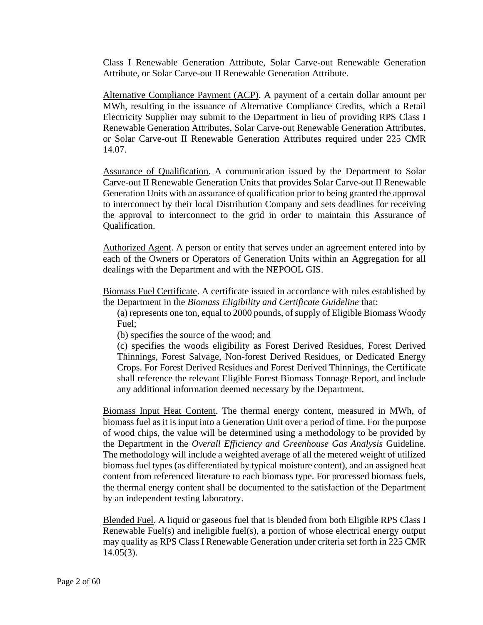Class I Renewable Generation Attribute, Solar Carve-out Renewable Generation Attribute, or Solar Carve-out II Renewable Generation Attribute.

Alternative Compliance Payment (ACP). A payment of a certain dollar amount per MWh, resulting in the issuance of Alternative Compliance Credits, which a Retail Electricity Supplier may submit to the Department in lieu of providing RPS Class I Renewable Generation Attributes, Solar Carve-out Renewable Generation Attributes, or Solar Carve-out II Renewable Generation Attributes required under 225 CMR 14.07.

Assurance of Qualification. A communication issued by the Department to Solar Carve-out II Renewable Generation Units that provides Solar Carve-out II Renewable Generation Units with an assurance of qualification prior to being granted the approval to interconnect by their local Distribution Company and sets deadlines for receiving the approval to interconnect to the grid in order to maintain this Assurance of Qualification.

Authorized Agent. A person or entity that serves under an agreement entered into by each of the Owners or Operators of Generation Units within an Aggregation for all dealings with the Department and with the NEPOOL GIS.

Biomass Fuel Certificate. A certificate issued in accordance with rules established by the Department in the *Biomass Eligibility and Certificate Guideline* that:

(a) represents one ton, equal to 2000 pounds, of supply of Eligible Biomass Woody Fuel;

(b) specifies the source of the wood; and

(c) specifies the woods eligibility as Forest Derived Residues, Forest Derived Thinnings, Forest Salvage, Non-forest Derived Residues, or Dedicated Energy Crops. For Forest Derived Residues and Forest Derived Thinnings, the Certificate shall reference the relevant Eligible Forest Biomass Tonnage Report, and include any additional information deemed necessary by the Department.

Biomass Input Heat Content. The thermal energy content, measured in MWh, of biomass fuel as it is input into a Generation Unit over a period of time. For the purpose of wood chips, the value will be determined using a methodology to be provided by the Department in the *Overall Efficiency and Greenhouse Gas Analysis* Guideline. The methodology will include a weighted average of all the metered weight of utilized biomass fuel types (as differentiated by typical moisture content), and an assigned heat content from referenced literature to each biomass type. For processed biomass fuels, the thermal energy content shall be documented to the satisfaction of the Department by an independent testing laboratory.

Blended Fuel. A liquid or gaseous fuel that is blended from both Eligible RPS Class I Renewable Fuel(s) and ineligible fuel(s), a portion of whose electrical energy output may qualify as RPS Class I Renewable Generation under criteria set forth in 225 CMR 14.05(3).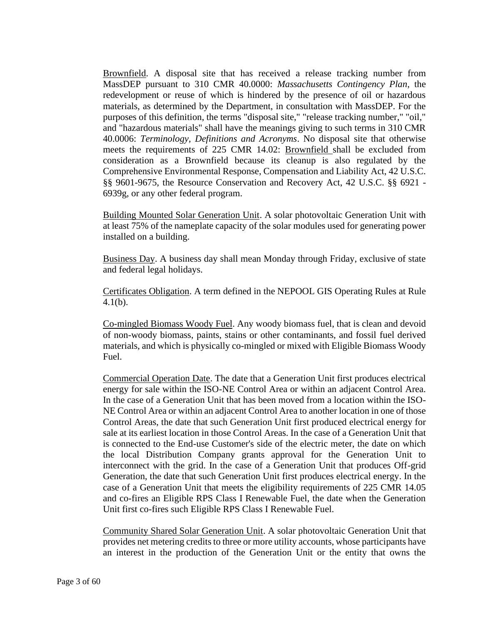Brownfield. A disposal site that has received a release tracking number from MassDEP pursuant to 310 CMR 40.0000: *Massachusetts Contingency Plan*, the redevelopment or reuse of which is hindered by the presence of oil or hazardous materials, as determined by the Department, in consultation with MassDEP. For the purposes of this definition, the terms "disposal site," "release tracking number," "oil," and "hazardous materials" shall have the meanings giving to such terms in 310 CMR 40.0006: *Terminology, Definitions and Acronyms*. No disposal site that otherwise meets the requirements of 225 CMR 14.02: Brownfield shall be excluded from consideration as a Brownfield because its cleanup is also regulated by the Comprehensive Environmental Response, Compensation and Liability Act, 42 U.S.C. §§ 9601-9675, the Resource Conservation and Recovery Act, 42 U.S.C. §§ 6921 - 6939g, or any other federal program.

Building Mounted Solar Generation Unit. A solar photovoltaic Generation Unit with at least 75% of the nameplate capacity of the solar modules used for generating power installed on a building.

Business Day. A business day shall mean Monday through Friday, exclusive of state and federal legal holidays.

Certificates Obligation. A term defined in the NEPOOL GIS Operating Rules at Rule 4.1(b).

Co-mingled Biomass Woody Fuel. Any woody biomass fuel, that is clean and devoid of non-woody biomass, paints, stains or other contaminants, and fossil fuel derived materials, and which is physically co-mingled or mixed with Eligible Biomass Woody Fuel.

Commercial Operation Date. The date that a Generation Unit first produces electrical energy for sale within the ISO-NE Control Area or within an adjacent Control Area. In the case of a Generation Unit that has been moved from a location within the ISO-NE Control Area or within an adjacent Control Area to another location in one of those Control Areas, the date that such Generation Unit first produced electrical energy for sale at its earliest location in those Control Areas. In the case of a Generation Unit that is connected to the End-use Customer's side of the electric meter, the date on which the local Distribution Company grants approval for the Generation Unit to interconnect with the grid. In the case of a Generation Unit that produces Off-grid Generation, the date that such Generation Unit first produces electrical energy. In the case of a Generation Unit that meets the eligibility requirements of 225 CMR 14.05 and co-fires an Eligible RPS Class I Renewable Fuel, the date when the Generation Unit first co-fires such Eligible RPS Class I Renewable Fuel.

Community Shared Solar Generation Unit. A solar photovoltaic Generation Unit that provides net metering credits to three or more utility accounts, whose participants have an interest in the production of the Generation Unit or the entity that owns the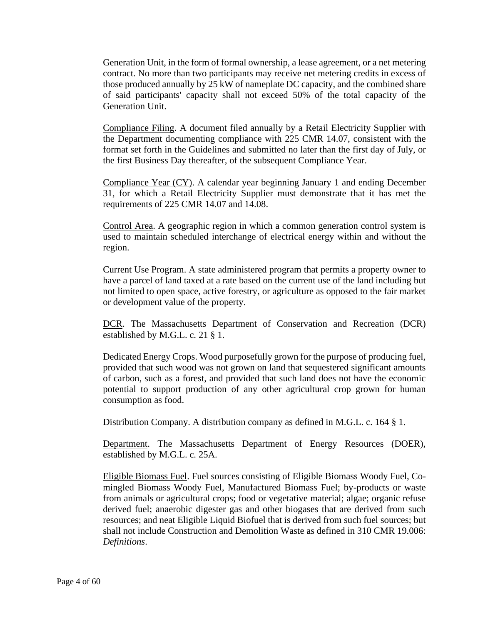Generation Unit, in the form of formal ownership, a lease agreement, or a net metering contract. No more than two participants may receive net metering credits in excess of those produced annually by 25 kW of nameplate DC capacity, and the combined share of said participants' capacity shall not exceed 50% of the total capacity of the Generation Unit.

Compliance Filing. A document filed annually by a Retail Electricity Supplier with the Department documenting compliance with 225 CMR 14.07, consistent with the format set forth in the Guidelines and submitted no later than the first day of July, or the first Business Day thereafter, of the subsequent Compliance Year.

Compliance Year (CY). A calendar year beginning January 1 and ending December 31, for which a Retail Electricity Supplier must demonstrate that it has met the requirements of 225 CMR 14.07 and 14.08.

Control Area. A geographic region in which a common generation control system is used to maintain scheduled interchange of electrical energy within and without the region.

Current Use Program. A state administered program that permits a property owner to have a parcel of land taxed at a rate based on the current use of the land including but not limited to open space, active forestry, or agriculture as opposed to the fair market or development value of the property.

DCR. The Massachusetts Department of Conservation and Recreation (DCR) established by M.G.L. c. 21 § 1.

Dedicated Energy Crops. Wood purposefully grown for the purpose of producing fuel, provided that such wood was not grown on land that sequestered significant amounts of carbon, such as a forest, and provided that such land does not have the economic potential to support production of any other agricultural crop grown for human consumption as food.

Distribution Company. A distribution company as defined in M.G.L. c. 164 § 1.

Department. The Massachusetts Department of Energy Resources (DOER), established by M.G.L. c. 25A.

Eligible Biomass Fuel. Fuel sources consisting of Eligible Biomass Woody Fuel, Comingled Biomass Woody Fuel, Manufactured Biomass Fuel; by-products or waste from animals or agricultural crops; food or vegetative material; algae; organic refuse derived fuel; anaerobic digester gas and other biogases that are derived from such resources; and neat Eligible Liquid Biofuel that is derived from such fuel sources; but shall not include Construction and Demolition Waste as defined in 310 CMR 19.006: *Definitions*.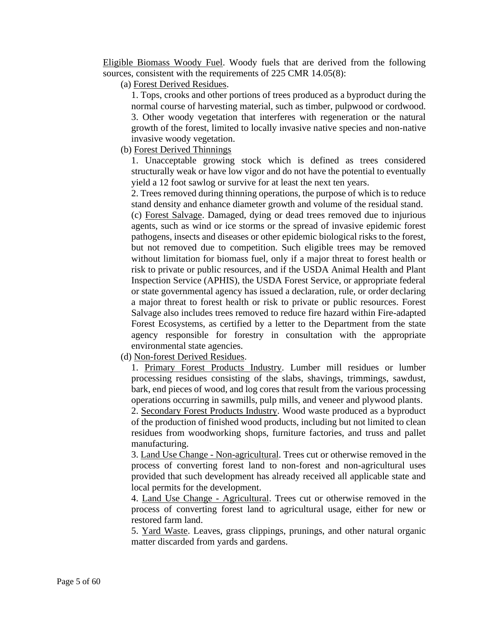Eligible Biomass Woody Fuel. Woody fuels that are derived from the following sources, consistent with the requirements of 225 CMR 14.05(8):

(a) Forest Derived Residues.

1. Tops, crooks and other portions of trees produced as a byproduct during the normal course of harvesting material, such as timber, pulpwood or cordwood. 3. Other woody vegetation that interferes with regeneration or the natural growth of the forest, limited to locally invasive native species and non-native invasive woody vegetation.

# (b) Forest Derived Thinnings

1. Unacceptable growing stock which is defined as trees considered structurally weak or have low vigor and do not have the potential to eventually yield a 12 foot sawlog or survive for at least the next ten years.

2. Trees removed during thinning operations, the purpose of which is to reduce stand density and enhance diameter growth and volume of the residual stand.

(c) Forest Salvage. Damaged, dying or dead trees removed due to injurious agents, such as wind or ice storms or the spread of invasive epidemic forest pathogens, insects and diseases or other epidemic biological risks to the forest, but not removed due to competition. Such eligible trees may be removed without limitation for biomass fuel, only if a major threat to forest health or risk to private or public resources, and if the USDA Animal Health and Plant Inspection Service (APHIS), the USDA Forest Service, or appropriate federal or state governmental agency has issued a declaration, rule, or order declaring a major threat to forest health or risk to private or public resources. Forest Salvage also includes trees removed to reduce fire hazard within Fire-adapted Forest Ecosystems, as certified by a letter to the Department from the state agency responsible for forestry in consultation with the appropriate environmental state agencies.

(d) Non-forest Derived Residues.

1. Primary Forest Products Industry. Lumber mill residues or lumber processing residues consisting of the slabs, shavings, trimmings, sawdust, bark, end pieces of wood, and log cores that result from the various processing operations occurring in sawmills, pulp mills, and veneer and plywood plants.

2. Secondary Forest Products Industry. Wood waste produced as a byproduct of the production of finished wood products, including but not limited to clean residues from woodworking shops, furniture factories, and truss and pallet manufacturing.

3. Land Use Change - Non-agricultural. Trees cut or otherwise removed in the process of converting forest land to non-forest and non-agricultural uses provided that such development has already received all applicable state and local permits for the development.

4. Land Use Change - Agricultural. Trees cut or otherwise removed in the process of converting forest land to agricultural usage, either for new or restored farm land.

5. Yard Waste. Leaves, grass clippings, prunings, and other natural organic matter discarded from yards and gardens.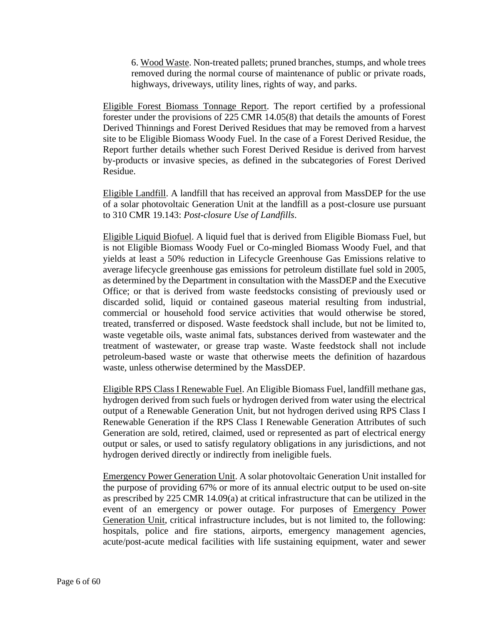6. Wood Waste. Non-treated pallets; pruned branches, stumps, and whole trees removed during the normal course of maintenance of public or private roads, highways, driveways, utility lines, rights of way, and parks.

Eligible Forest Biomass Tonnage Report. The report certified by a professional forester under the provisions of 225 CMR 14.05(8) that details the amounts of Forest Derived Thinnings and Forest Derived Residues that may be removed from a harvest site to be Eligible Biomass Woody Fuel. In the case of a Forest Derived Residue, the Report further details whether such Forest Derived Residue is derived from harvest by-products or invasive species, as defined in the subcategories of Forest Derived Residue.

Eligible Landfill. A landfill that has received an approval from MassDEP for the use of a solar photovoltaic Generation Unit at the landfill as a post-closure use pursuant to 310 CMR 19.143: *Post-closure Use of Landfills*.

Eligible Liquid Biofuel. A liquid fuel that is derived from Eligible Biomass Fuel, but is not Eligible Biomass Woody Fuel or Co-mingled Biomass Woody Fuel, and that yields at least a 50% reduction in Lifecycle Greenhouse Gas Emissions relative to average lifecycle greenhouse gas emissions for petroleum distillate fuel sold in 2005, as determined by the Department in consultation with the MassDEP and the Executive Office; or that is derived from waste feedstocks consisting of previously used or discarded solid, liquid or contained gaseous material resulting from industrial, commercial or household food service activities that would otherwise be stored, treated, transferred or disposed. Waste feedstock shall include, but not be limited to, waste vegetable oils, waste animal fats, substances derived from wastewater and the treatment of wastewater, or grease trap waste. Waste feedstock shall not include petroleum-based waste or waste that otherwise meets the definition of hazardous waste, unless otherwise determined by the MassDEP.

Eligible RPS Class I Renewable Fuel. An Eligible Biomass Fuel, landfill methane gas, hydrogen derived from such fuels or hydrogen derived from water using the electrical output of a Renewable Generation Unit, but not hydrogen derived using RPS Class I Renewable Generation if the RPS Class I Renewable Generation Attributes of such Generation are sold, retired, claimed, used or represented as part of electrical energy output or sales, or used to satisfy regulatory obligations in any jurisdictions, and not hydrogen derived directly or indirectly from ineligible fuels.

Emergency Power Generation Unit. A solar photovoltaic Generation Unit installed for the purpose of providing 67% or more of its annual electric output to be used on-site as prescribed by 225 CMR 14.09(a) at critical infrastructure that can be utilized in the event of an emergency or power outage. For purposes of Emergency Power Generation Unit, critical infrastructure includes, but is not limited to, the following: hospitals, police and fire stations, airports, emergency management agencies, acute/post-acute medical facilities with life sustaining equipment, water and sewer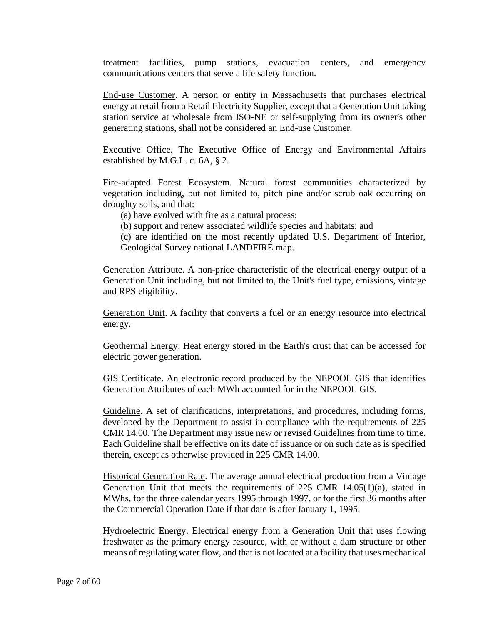treatment facilities, pump stations, evacuation centers, and emergency communications centers that serve a life safety function.

End-use Customer. A person or entity in Massachusetts that purchases electrical energy at retail from a Retail Electricity Supplier, except that a Generation Unit taking station service at wholesale from ISO-NE or self-supplying from its owner's other generating stations, shall not be considered an End-use Customer.

Executive Office. The Executive Office of Energy and Environmental Affairs established by M.G.L. c. 6A, § 2.

Fire-adapted Forest Ecosystem. Natural forest communities characterized by vegetation including, but not limited to, pitch pine and/or scrub oak occurring on droughty soils, and that:

(a) have evolved with fire as a natural process;

(b) support and renew associated wildlife species and habitats; and

(c) are identified on the most recently updated U.S. Department of Interior, Geological Survey national LANDFIRE map.

Generation Attribute. A non-price characteristic of the electrical energy output of a Generation Unit including, but not limited to, the Unit's fuel type, emissions, vintage and RPS eligibility.

Generation Unit. A facility that converts a fuel or an energy resource into electrical energy.

Geothermal Energy. Heat energy stored in the Earth's crust that can be accessed for electric power generation.

GIS Certificate. An electronic record produced by the NEPOOL GIS that identifies Generation Attributes of each MWh accounted for in the NEPOOL GIS.

Guideline. A set of clarifications, interpretations, and procedures, including forms, developed by the Department to assist in compliance with the requirements of 225 CMR 14.00. The Department may issue new or revised Guidelines from time to time. Each Guideline shall be effective on its date of issuance or on such date as is specified therein, except as otherwise provided in 225 CMR 14.00.

Historical Generation Rate. The average annual electrical production from a Vintage Generation Unit that meets the requirements of  $225$  CMR  $14.05(1)(a)$ , stated in MWhs, for the three calendar years 1995 through 1997, or for the first 36 months after the Commercial Operation Date if that date is after January 1, 1995.

Hydroelectric Energy. Electrical energy from a Generation Unit that uses flowing freshwater as the primary energy resource, with or without a dam structure or other means of regulating water flow, and that is not located at a facility that uses mechanical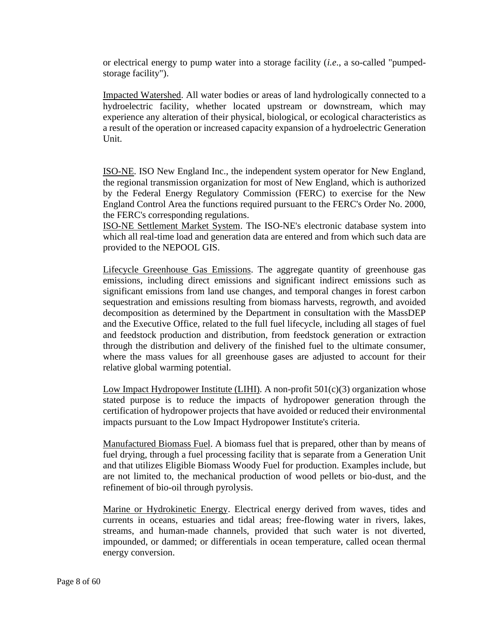or electrical energy to pump water into a storage facility (*i.e*., a so-called "pumpedstorage facility").

Impacted Watershed. All water bodies or areas of land hydrologically connected to a hydroelectric facility, whether located upstream or downstream, which may experience any alteration of their physical, biological, or ecological characteristics as a result of the operation or increased capacity expansion of a hydroelectric Generation Unit.

ISO-NE. ISO New England Inc., the independent system operator for New England, the regional transmission organization for most of New England, which is authorized by the Federal Energy Regulatory Commission (FERC) to exercise for the New England Control Area the functions required pursuant to the FERC's Order No. 2000, the FERC's corresponding regulations.

ISO-NE Settlement Market System. The ISO-NE's electronic database system into which all real-time load and generation data are entered and from which such data are provided to the NEPOOL GIS.

Lifecycle Greenhouse Gas Emissions. The aggregate quantity of greenhouse gas emissions, including direct emissions and significant indirect emissions such as significant emissions from land use changes, and temporal changes in forest carbon sequestration and emissions resulting from biomass harvests, regrowth, and avoided decomposition as determined by the Department in consultation with the MassDEP and the Executive Office, related to the full fuel lifecycle, including all stages of fuel and feedstock production and distribution, from feedstock generation or extraction through the distribution and delivery of the finished fuel to the ultimate consumer, where the mass values for all greenhouse gases are adjusted to account for their relative global warming potential.

Low Impact Hydropower Institute (LIHI). A non-profit  $501(c)(3)$  organization whose stated purpose is to reduce the impacts of hydropower generation through the certification of hydropower projects that have avoided or reduced their environmental impacts pursuant to the Low Impact Hydropower Institute's criteria.

Manufactured Biomass Fuel. A biomass fuel that is prepared, other than by means of fuel drying, through a fuel processing facility that is separate from a Generation Unit and that utilizes Eligible Biomass Woody Fuel for production. Examples include, but are not limited to, the mechanical production of wood pellets or bio-dust, and the refinement of bio-oil through pyrolysis.

Marine or Hydrokinetic Energy. Electrical energy derived from waves, tides and currents in oceans, estuaries and tidal areas; free-flowing water in rivers, lakes, streams, and human-made channels, provided that such water is not diverted, impounded, or dammed; or differentials in ocean temperature, called ocean thermal energy conversion.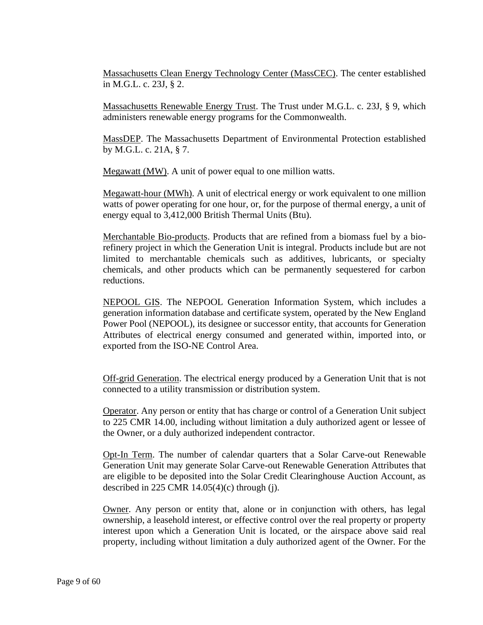Massachusetts Clean Energy Technology Center (MassCEC). The center established in M.G.L. c. 23J, § 2.

Massachusetts Renewable Energy Trust. The Trust under M.G.L. c. 23J, § 9, which administers renewable energy programs for the Commonwealth.

MassDEP. The Massachusetts Department of Environmental Protection established by M.G.L. c. 21A, § 7.

Megawatt (MW). A unit of power equal to one million watts.

Megawatt-hour (MWh). A unit of electrical energy or work equivalent to one million watts of power operating for one hour, or, for the purpose of thermal energy, a unit of energy equal to 3,412,000 British Thermal Units (Btu).

Merchantable Bio-products. Products that are refined from a biomass fuel by a biorefinery project in which the Generation Unit is integral. Products include but are not limited to merchantable chemicals such as additives, lubricants, or specialty chemicals, and other products which can be permanently sequestered for carbon reductions.

NEPOOL GIS. The NEPOOL Generation Information System, which includes a generation information database and certificate system, operated by the New England Power Pool (NEPOOL), its designee or successor entity, that accounts for Generation Attributes of electrical energy consumed and generated within, imported into, or exported from the ISO-NE Control Area.

Off-grid Generation. The electrical energy produced by a Generation Unit that is not connected to a utility transmission or distribution system.

Operator. Any person or entity that has charge or control of a Generation Unit subject to 225 CMR 14.00, including without limitation a duly authorized agent or lessee of the Owner, or a duly authorized independent contractor.

Opt-In Term. The number of calendar quarters that a Solar Carve-out Renewable Generation Unit may generate Solar Carve-out Renewable Generation Attributes that are eligible to be deposited into the Solar Credit Clearinghouse Auction Account, as described in 225 CMR  $14.05(4)$ (c) through (j).

Owner. Any person or entity that, alone or in conjunction with others, has legal ownership, a leasehold interest, or effective control over the real property or property interest upon which a Generation Unit is located, or the airspace above said real property, including without limitation a duly authorized agent of the Owner. For the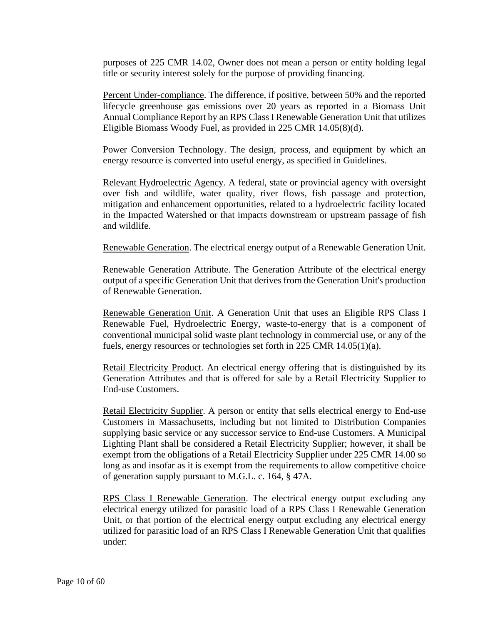purposes of 225 CMR 14.02, Owner does not mean a person or entity holding legal title or security interest solely for the purpose of providing financing.

Percent Under-compliance. The difference, if positive, between 50% and the reported lifecycle greenhouse gas emissions over 20 years as reported in a Biomass Unit Annual Compliance Report by an RPS Class I Renewable Generation Unit that utilizes Eligible Biomass Woody Fuel, as provided in 225 CMR 14.05(8)(d).

Power Conversion Technology. The design, process, and equipment by which an energy resource is converted into useful energy, as specified in Guidelines.

Relevant Hydroelectric Agency. A federal, state or provincial agency with oversight over fish and wildlife, water quality, river flows, fish passage and protection, mitigation and enhancement opportunities, related to a hydroelectric facility located in the Impacted Watershed or that impacts downstream or upstream passage of fish and wildlife.

Renewable Generation. The electrical energy output of a Renewable Generation Unit.

Renewable Generation Attribute. The Generation Attribute of the electrical energy output of a specific Generation Unit that derives from the Generation Unit's production of Renewable Generation.

Renewable Generation Unit. A Generation Unit that uses an Eligible RPS Class I Renewable Fuel, Hydroelectric Energy, waste-to-energy that is a component of conventional municipal solid waste plant technology in commercial use, or any of the fuels, energy resources or technologies set forth in 225 CMR 14.05(1)(a).

Retail Electricity Product. An electrical energy offering that is distinguished by its Generation Attributes and that is offered for sale by a Retail Electricity Supplier to End-use Customers.

Retail Electricity Supplier. A person or entity that sells electrical energy to End-use Customers in Massachusetts, including but not limited to Distribution Companies supplying basic service or any successor service to End-use Customers. A Municipal Lighting Plant shall be considered a Retail Electricity Supplier; however, it shall be exempt from the obligations of a Retail Electricity Supplier under 225 CMR 14.00 so long as and insofar as it is exempt from the requirements to allow competitive choice of generation supply pursuant to M.G.L. c. 164, § 47A.

RPS Class I Renewable Generation. The electrical energy output excluding any electrical energy utilized for parasitic load of a RPS Class I Renewable Generation Unit, or that portion of the electrical energy output excluding any electrical energy utilized for parasitic load of an RPS Class I Renewable Generation Unit that qualifies under: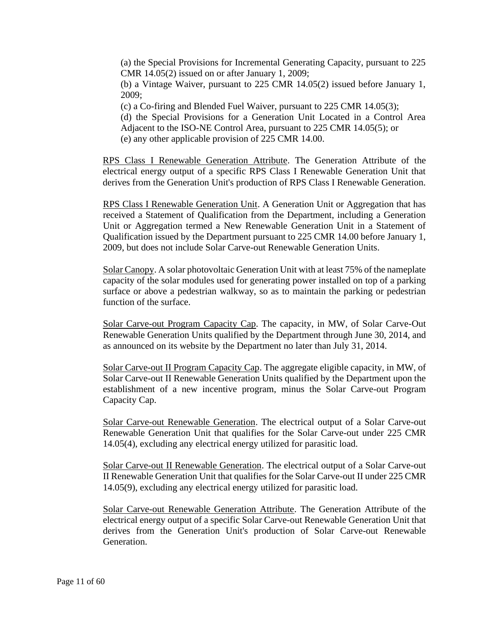(a) the Special Provisions for Incremental Generating Capacity, pursuant to 225 CMR 14.05(2) issued on or after January 1, 2009;

(b) a Vintage Waiver, pursuant to 225 CMR 14.05(2) issued before January 1, 2009;

(c) a Co-firing and Blended Fuel Waiver, pursuant to 225 CMR 14.05(3);

(d) the Special Provisions for a Generation Unit Located in a Control Area Adjacent to the ISO-NE Control Area, pursuant to 225 CMR 14.05(5); or (e) any other applicable provision of 225 CMR 14.00.

RPS Class I Renewable Generation Attribute. The Generation Attribute of the electrical energy output of a specific RPS Class I Renewable Generation Unit that derives from the Generation Unit's production of RPS Class I Renewable Generation.

RPS Class I Renewable Generation Unit. A Generation Unit or Aggregation that has received a Statement of Qualification from the Department, including a Generation Unit or Aggregation termed a New Renewable Generation Unit in a Statement of Qualification issued by the Department pursuant to 225 CMR 14.00 before January 1, 2009, but does not include Solar Carve-out Renewable Generation Units.

Solar Canopy. A solar photovoltaic Generation Unit with at least 75% of the nameplate capacity of the solar modules used for generating power installed on top of a parking surface or above a pedestrian walkway, so as to maintain the parking or pedestrian function of the surface.

Solar Carve-out Program Capacity Cap. The capacity, in MW, of Solar Carve-Out Renewable Generation Units qualified by the Department through June 30, 2014, and as announced on its website by the Department no later than July 31, 2014.

Solar Carve-out II Program Capacity Cap. The aggregate eligible capacity, in MW, of Solar Carve-out II Renewable Generation Units qualified by the Department upon the establishment of a new incentive program, minus the Solar Carve-out Program Capacity Cap.

Solar Carve-out Renewable Generation. The electrical output of a Solar Carve-out Renewable Generation Unit that qualifies for the Solar Carve-out under 225 CMR 14.05(4), excluding any electrical energy utilized for parasitic load.

Solar Carve-out II Renewable Generation. The electrical output of a Solar Carve-out II Renewable Generation Unit that qualifies for the Solar Carve-out II under 225 CMR 14.05(9), excluding any electrical energy utilized for parasitic load.

Solar Carve-out Renewable Generation Attribute. The Generation Attribute of the electrical energy output of a specific Solar Carve-out Renewable Generation Unit that derives from the Generation Unit's production of Solar Carve-out Renewable Generation.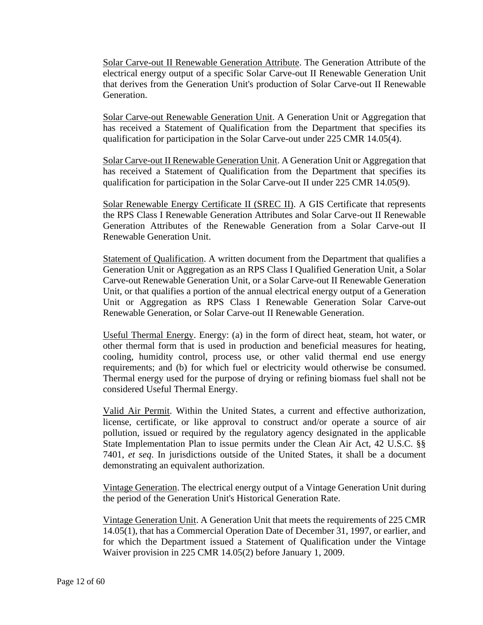Solar Carve-out II Renewable Generation Attribute. The Generation Attribute of the electrical energy output of a specific Solar Carve-out II Renewable Generation Unit that derives from the Generation Unit's production of Solar Carve-out II Renewable Generation.

Solar Carve-out Renewable Generation Unit. A Generation Unit or Aggregation that has received a Statement of Qualification from the Department that specifies its qualification for participation in the Solar Carve-out under 225 CMR 14.05(4).

Solar Carve-out II Renewable Generation Unit. A Generation Unit or Aggregation that has received a Statement of Qualification from the Department that specifies its qualification for participation in the Solar Carve-out II under 225 CMR 14.05(9).

Solar Renewable Energy Certificate II (SREC II). A GIS Certificate that represents the RPS Class I Renewable Generation Attributes and Solar Carve-out II Renewable Generation Attributes of the Renewable Generation from a Solar Carve-out II Renewable Generation Unit.

Statement of Qualification. A written document from the Department that qualifies a Generation Unit or Aggregation as an RPS Class I Qualified Generation Unit, a Solar Carve-out Renewable Generation Unit, or a Solar Carve-out II Renewable Generation Unit, or that qualifies a portion of the annual electrical energy output of a Generation Unit or Aggregation as RPS Class I Renewable Generation Solar Carve-out Renewable Generation, or Solar Carve-out II Renewable Generation.

Useful Thermal Energy. Energy: (a) in the form of direct heat, steam, hot water, or other thermal form that is used in production and beneficial measures for heating, cooling, humidity control, process use, or other valid thermal end use energy requirements; and (b) for which fuel or electricity would otherwise be consumed. Thermal energy used for the purpose of drying or refining biomass fuel shall not be considered Useful Thermal Energy.

Valid Air Permit. Within the United States, a current and effective authorization, license, certificate, or like approval to construct and/or operate a source of air pollution, issued or required by the regulatory agency designated in the applicable State Implementation Plan to issue permits under the Clean Air Act, 42 U.S.C. §§ 7401, *et seq*. In jurisdictions outside of the United States, it shall be a document demonstrating an equivalent authorization.

Vintage Generation. The electrical energy output of a Vintage Generation Unit during the period of the Generation Unit's Historical Generation Rate.

Vintage Generation Unit. A Generation Unit that meets the requirements of 225 CMR 14.05(1), that has a Commercial Operation Date of December 31, 1997, or earlier, and for which the Department issued a Statement of Qualification under the Vintage Waiver provision in 225 CMR 14.05(2) before January 1, 2009.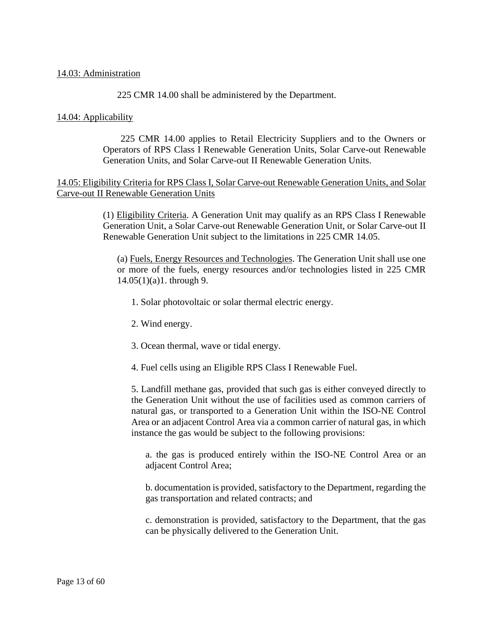#### 14.03: Administration

225 CMR 14.00 shall be administered by the Department.

### 14.04: Applicability

225 CMR 14.00 applies to Retail Electricity Suppliers and to the Owners or Operators of RPS Class I Renewable Generation Units, Solar Carve-out Renewable Generation Units, and Solar Carve-out II Renewable Generation Units.

## 14.05: Eligibility Criteria for RPS Class I, Solar Carve-out Renewable Generation Units, and Solar Carve-out II Renewable Generation Units

(1) Eligibility Criteria. A Generation Unit may qualify as an RPS Class I Renewable Generation Unit, a Solar Carve-out Renewable Generation Unit, or Solar Carve-out II Renewable Generation Unit subject to the limitations in 225 CMR 14.05.

(a) Fuels, Energy Resources and Technologies. The Generation Unit shall use one or more of the fuels, energy resources and/or technologies listed in 225 CMR 14.05(1)(a)1. through 9.

- 1. Solar photovoltaic or solar thermal electric energy.
- 2. Wind energy.
- 3. Ocean thermal, wave or tidal energy.

4. Fuel cells using an Eligible RPS Class I Renewable Fuel.

5. Landfill methane gas, provided that such gas is either conveyed directly to the Generation Unit without the use of facilities used as common carriers of natural gas, or transported to a Generation Unit within the ISO-NE Control Area or an adjacent Control Area via a common carrier of natural gas, in which instance the gas would be subject to the following provisions:

a. the gas is produced entirely within the ISO-NE Control Area or an adjacent Control Area;

b. documentation is provided, satisfactory to the Department, regarding the gas transportation and related contracts; and

c. demonstration is provided, satisfactory to the Department, that the gas can be physically delivered to the Generation Unit.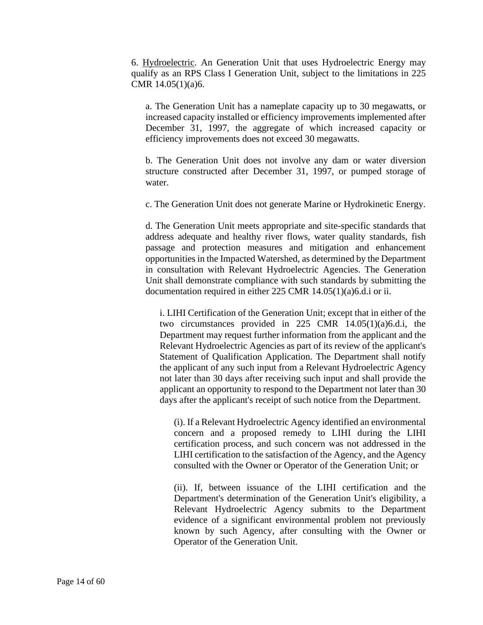6. Hydroelectric. An Generation Unit that uses Hydroelectric Energy may qualify as an RPS Class I Generation Unit, subject to the limitations in 225 CMR 14.05(1)(a)6.

a. The Generation Unit has a nameplate capacity up to 30 megawatts, or increased capacity installed or efficiency improvements implemented after December 31, 1997, the aggregate of which increased capacity or efficiency improvements does not exceed 30 megawatts.

b. The Generation Unit does not involve any dam or water diversion structure constructed after December 31, 1997, or pumped storage of water.

c. The Generation Unit does not generate Marine or Hydrokinetic Energy.

d. The Generation Unit meets appropriate and site-specific standards that address adequate and healthy river flows, water quality standards, fish passage and protection measures and mitigation and enhancement opportunities in the Impacted Watershed, as determined by the Department in consultation with Relevant Hydroelectric Agencies. The Generation Unit shall demonstrate compliance with such standards by submitting the documentation required in either 225 CMR 14.05(1)(a)6.d.i or ii.

i. LIHI Certification of the Generation Unit; except that in either of the two circumstances provided in 225 CMR 14.05(1)(a)6.d.i, the Department may request further information from the applicant and the Relevant Hydroelectric Agencies as part of its review of the applicant's Statement of Qualification Application. The Department shall notify the applicant of any such input from a Relevant Hydroelectric Agency not later than 30 days after receiving such input and shall provide the applicant an opportunity to respond to the Department not later than 30 days after the applicant's receipt of such notice from the Department.

(i). If a Relevant Hydroelectric Agency identified an environmental concern and a proposed remedy to LIHI during the LIHI certification process, and such concern was not addressed in the LIHI certification to the satisfaction of the Agency, and the Agency consulted with the Owner or Operator of the Generation Unit; or

(ii). If, between issuance of the LIHI certification and the Department's determination of the Generation Unit's eligibility, a Relevant Hydroelectric Agency submits to the Department evidence of a significant environmental problem not previously known by such Agency, after consulting with the Owner or Operator of the Generation Unit.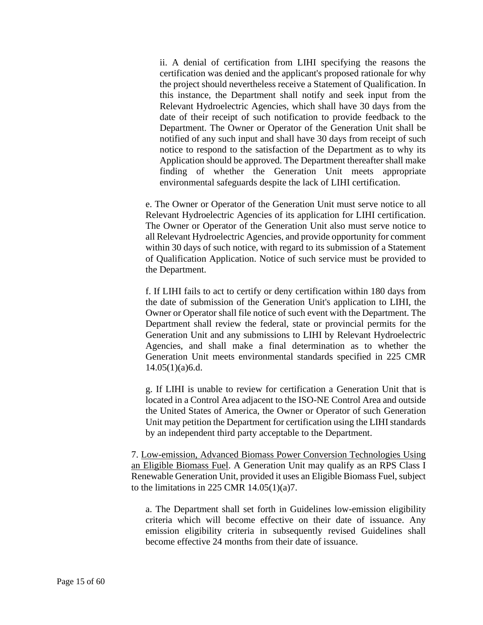ii. A denial of certification from LIHI specifying the reasons the certification was denied and the applicant's proposed rationale for why the project should nevertheless receive a Statement of Qualification. In this instance, the Department shall notify and seek input from the Relevant Hydroelectric Agencies, which shall have 30 days from the date of their receipt of such notification to provide feedback to the Department. The Owner or Operator of the Generation Unit shall be notified of any such input and shall have 30 days from receipt of such notice to respond to the satisfaction of the Department as to why its Application should be approved. The Department thereafter shall make finding of whether the Generation Unit meets appropriate environmental safeguards despite the lack of LIHI certification.

e. The Owner or Operator of the Generation Unit must serve notice to all Relevant Hydroelectric Agencies of its application for LIHI certification. The Owner or Operator of the Generation Unit also must serve notice to all Relevant Hydroelectric Agencies, and provide opportunity for comment within 30 days of such notice, with regard to its submission of a Statement of Qualification Application. Notice of such service must be provided to the Department.

f. If LIHI fails to act to certify or deny certification within 180 days from the date of submission of the Generation Unit's application to LIHI, the Owner or Operator shall file notice of such event with the Department. The Department shall review the federal, state or provincial permits for the Generation Unit and any submissions to LIHI by Relevant Hydroelectric Agencies, and shall make a final determination as to whether the Generation Unit meets environmental standards specified in 225 CMR  $14.05(1)(a)6.d.$ 

g. If LIHI is unable to review for certification a Generation Unit that is located in a Control Area adjacent to the ISO-NE Control Area and outside the United States of America, the Owner or Operator of such Generation Unit may petition the Department for certification using the LIHI standards by an independent third party acceptable to the Department.

7. Low-emission, Advanced Biomass Power Conversion Technologies Using an Eligible Biomass Fuel. A Generation Unit may qualify as an RPS Class I Renewable Generation Unit, provided it uses an Eligible Biomass Fuel, subject to the limitations in 225 CMR  $14.05(1)(a)7$ .

a. The Department shall set forth in Guidelines low-emission eligibility criteria which will become effective on their date of issuance. Any emission eligibility criteria in subsequently revised Guidelines shall become effective 24 months from their date of issuance.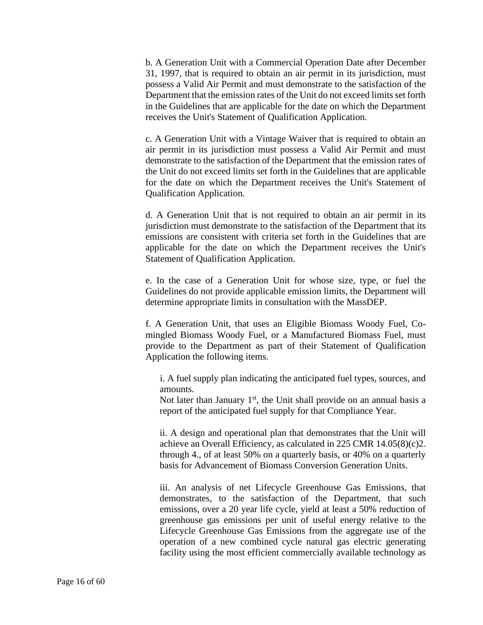b. A Generation Unit with a Commercial Operation Date after December 31, 1997, that is required to obtain an air permit in its jurisdiction, must possess a Valid Air Permit and must demonstrate to the satisfaction of the Department that the emission rates of the Unit do not exceed limits set forth in the Guidelines that are applicable for the date on which the Department receives the Unit's Statement of Qualification Application.

c. A Generation Unit with a Vintage Waiver that is required to obtain an air permit in its jurisdiction must possess a Valid Air Permit and must demonstrate to the satisfaction of the Department that the emission rates of the Unit do not exceed limits set forth in the Guidelines that are applicable for the date on which the Department receives the Unit's Statement of Qualification Application.

d. A Generation Unit that is not required to obtain an air permit in its jurisdiction must demonstrate to the satisfaction of the Department that its emissions are consistent with criteria set forth in the Guidelines that are applicable for the date on which the Department receives the Unit's Statement of Qualification Application.

e. In the case of a Generation Unit for whose size, type, or fuel the Guidelines do not provide applicable emission limits, the Department will determine appropriate limits in consultation with the MassDEP.

f. A Generation Unit, that uses an Eligible Biomass Woody Fuel, Comingled Biomass Woody Fuel, or a Manufactured Biomass Fuel, must provide to the Department as part of their Statement of Qualification Application the following items.

i. A fuel supply plan indicating the anticipated fuel types, sources, and amounts.

Not later than January  $1<sup>st</sup>$ , the Unit shall provide on an annual basis a report of the anticipated fuel supply for that Compliance Year.

ii. A design and operational plan that demonstrates that the Unit will achieve an Overall Efficiency, as calculated in 225 CMR 14.05(8)(c)2. through 4., of at least 50% on a quarterly basis, or 40% on a quarterly basis for Advancement of Biomass Conversion Generation Units.

iii. An analysis of net Lifecycle Greenhouse Gas Emissions, that demonstrates, to the satisfaction of the Department, that such emissions, over a 20 year life cycle, yield at least a 50% reduction of greenhouse gas emissions per unit of useful energy relative to the Lifecycle Greenhouse Gas Emissions from the aggregate use of the operation of a new combined cycle natural gas electric generating facility using the most efficient commercially available technology as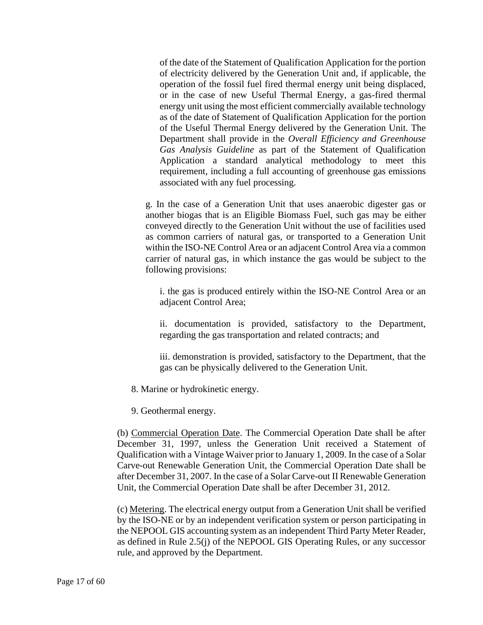of the date of the Statement of Qualification Application for the portion of electricity delivered by the Generation Unit and, if applicable, the operation of the fossil fuel fired thermal energy unit being displaced, or in the case of new Useful Thermal Energy, a gas-fired thermal energy unit using the most efficient commercially available technology as of the date of Statement of Qualification Application for the portion of the Useful Thermal Energy delivered by the Generation Unit. The Department shall provide in the *Overall Efficiency and Greenhouse Gas Analysis Guideline* as part of the Statement of Qualification Application a standard analytical methodology to meet this requirement, including a full accounting of greenhouse gas emissions associated with any fuel processing.

g. In the case of a Generation Unit that uses anaerobic digester gas or another biogas that is an Eligible Biomass Fuel, such gas may be either conveyed directly to the Generation Unit without the use of facilities used as common carriers of natural gas, or transported to a Generation Unit within the ISO-NE Control Area or an adjacent Control Area via a common carrier of natural gas, in which instance the gas would be subject to the following provisions:

i. the gas is produced entirely within the ISO-NE Control Area or an adjacent Control Area;

ii. documentation is provided, satisfactory to the Department, regarding the gas transportation and related contracts; and

iii. demonstration is provided, satisfactory to the Department, that the gas can be physically delivered to the Generation Unit.

8. Marine or hydrokinetic energy.

9. Geothermal energy.

(b) Commercial Operation Date. The Commercial Operation Date shall be after December 31, 1997, unless the Generation Unit received a Statement of Qualification with a Vintage Waiver prior to January 1, 2009. In the case of a Solar Carve-out Renewable Generation Unit, the Commercial Operation Date shall be after December 31, 2007. In the case of a Solar Carve-out II Renewable Generation Unit, the Commercial Operation Date shall be after December 31, 2012.

(c) Metering. The electrical energy output from a Generation Unit shall be verified by the ISO-NE or by an independent verification system or person participating in the NEPOOL GIS accounting system as an independent Third Party Meter Reader, as defined in Rule 2.5(j) of the NEPOOL GIS Operating Rules, or any successor rule, and approved by the Department.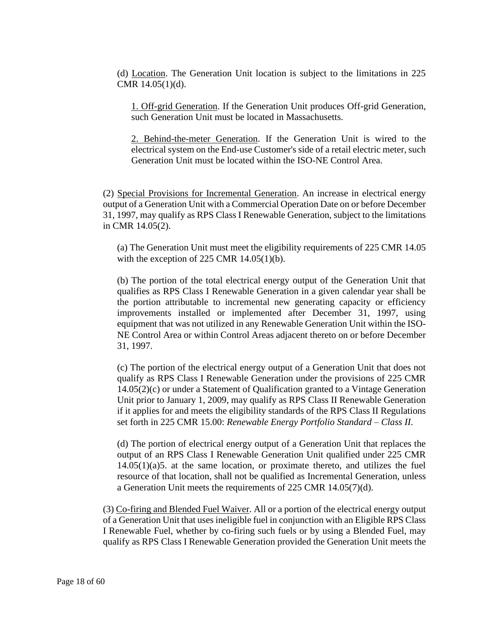(d) Location. The Generation Unit location is subject to the limitations in 225 CMR 14.05(1)(d).

1. Off-grid Generation. If the Generation Unit produces Off-grid Generation, such Generation Unit must be located in Massachusetts.

2. Behind-the-meter Generation. If the Generation Unit is wired to the electrical system on the End-use Customer's side of a retail electric meter, such Generation Unit must be located within the ISO-NE Control Area.

(2) Special Provisions for Incremental Generation. An increase in electrical energy output of a Generation Unit with a Commercial Operation Date on or before December 31, 1997, may qualify as RPS Class I Renewable Generation, subject to the limitations in CMR 14.05(2).

(a) The Generation Unit must meet the eligibility requirements of 225 CMR 14.05 with the exception of 225 CMR  $14.05(1)(b)$ .

(b) The portion of the total electrical energy output of the Generation Unit that qualifies as RPS Class I Renewable Generation in a given calendar year shall be the portion attributable to incremental new generating capacity or efficiency improvements installed or implemented after December 31, 1997, using equipment that was not utilized in any Renewable Generation Unit within the ISO-NE Control Area or within Control Areas adjacent thereto on or before December 31, 1997.

(c) The portion of the electrical energy output of a Generation Unit that does not qualify as RPS Class I Renewable Generation under the provisions of 225 CMR 14.05(2)(c) or under a Statement of Qualification granted to a Vintage Generation Unit prior to January 1, 2009, may qualify as RPS Class II Renewable Generation if it applies for and meets the eligibility standards of the RPS Class II Regulations set forth in 225 CMR 15.00: *Renewable Energy Portfolio Standard – Class II*.

(d) The portion of electrical energy output of a Generation Unit that replaces the output of an RPS Class I Renewable Generation Unit qualified under 225 CMR  $14.05(1)(a)5$ . at the same location, or proximate thereto, and utilizes the fuel resource of that location, shall not be qualified as Incremental Generation, unless a Generation Unit meets the requirements of 225 CMR 14.05(7)(d).

(3) Co-firing and Blended Fuel Waiver. All or a portion of the electrical energy output of a Generation Unit that uses ineligible fuel in conjunction with an Eligible RPS Class I Renewable Fuel, whether by co-firing such fuels or by using a Blended Fuel, may qualify as RPS Class I Renewable Generation provided the Generation Unit meets the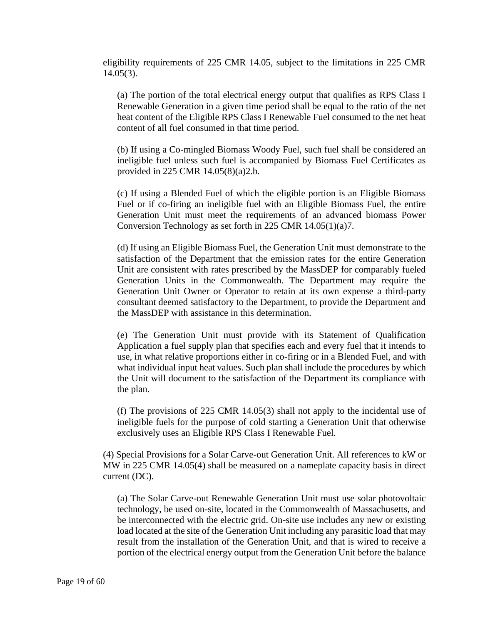eligibility requirements of 225 CMR 14.05, subject to the limitations in 225 CMR  $14.05(3)$ .

(a) The portion of the total electrical energy output that qualifies as RPS Class I Renewable Generation in a given time period shall be equal to the ratio of the net heat content of the Eligible RPS Class I Renewable Fuel consumed to the net heat content of all fuel consumed in that time period.

(b) If using a Co-mingled Biomass Woody Fuel, such fuel shall be considered an ineligible fuel unless such fuel is accompanied by Biomass Fuel Certificates as provided in 225 CMR 14.05(8)(a)2.b.

(c) If using a Blended Fuel of which the eligible portion is an Eligible Biomass Fuel or if co-firing an ineligible fuel with an Eligible Biomass Fuel, the entire Generation Unit must meet the requirements of an advanced biomass Power Conversion Technology as set forth in 225 CMR 14.05(1)(a)7.

(d) If using an Eligible Biomass Fuel, the Generation Unit must demonstrate to the satisfaction of the Department that the emission rates for the entire Generation Unit are consistent with rates prescribed by the MassDEP for comparably fueled Generation Units in the Commonwealth. The Department may require the Generation Unit Owner or Operator to retain at its own expense a third-party consultant deemed satisfactory to the Department, to provide the Department and the MassDEP with assistance in this determination.

(e) The Generation Unit must provide with its Statement of Qualification Application a fuel supply plan that specifies each and every fuel that it intends to use, in what relative proportions either in co-firing or in a Blended Fuel, and with what individual input heat values. Such plan shall include the procedures by which the Unit will document to the satisfaction of the Department its compliance with the plan.

(f) The provisions of 225 CMR 14.05(3) shall not apply to the incidental use of ineligible fuels for the purpose of cold starting a Generation Unit that otherwise exclusively uses an Eligible RPS Class I Renewable Fuel.

(4) Special Provisions for a Solar Carve-out Generation Unit. All references to kW or MW in 225 CMR 14.05(4) shall be measured on a nameplate capacity basis in direct current (DC).

(a) The Solar Carve-out Renewable Generation Unit must use solar photovoltaic technology, be used on-site, located in the Commonwealth of Massachusetts, and be interconnected with the electric grid. On-site use includes any new or existing load located at the site of the Generation Unit including any parasitic load that may result from the installation of the Generation Unit, and that is wired to receive a portion of the electrical energy output from the Generation Unit before the balance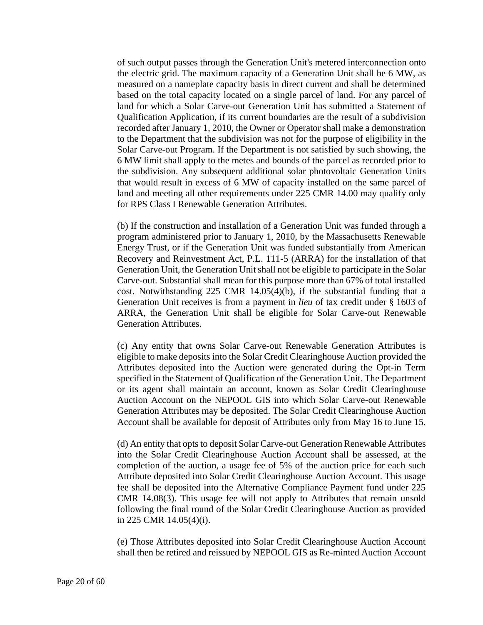of such output passes through the Generation Unit's metered interconnection onto the electric grid. The maximum capacity of a Generation Unit shall be 6 MW, as measured on a nameplate capacity basis in direct current and shall be determined based on the total capacity located on a single parcel of land. For any parcel of land for which a Solar Carve-out Generation Unit has submitted a Statement of Qualification Application, if its current boundaries are the result of a subdivision recorded after January 1, 2010, the Owner or Operator shall make a demonstration to the Department that the subdivision was not for the purpose of eligibility in the Solar Carve-out Program. If the Department is not satisfied by such showing, the 6 MW limit shall apply to the metes and bounds of the parcel as recorded prior to the subdivision. Any subsequent additional solar photovoltaic Generation Units that would result in excess of 6 MW of capacity installed on the same parcel of land and meeting all other requirements under 225 CMR 14.00 may qualify only for RPS Class I Renewable Generation Attributes.

(b) If the construction and installation of a Generation Unit was funded through a program administered prior to January 1, 2010, by the Massachusetts Renewable Energy Trust, or if the Generation Unit was funded substantially from American Recovery and Reinvestment Act, P.L. 111-5 (ARRA) for the installation of that Generation Unit, the Generation Unit shall not be eligible to participate in the Solar Carve-out. Substantial shall mean for this purpose more than 67% of total installed cost. Notwithstanding 225 CMR 14.05(4)(b), if the substantial funding that a Generation Unit receives is from a payment in *lieu* of tax credit under § 1603 of ARRA, the Generation Unit shall be eligible for Solar Carve-out Renewable Generation Attributes.

(c) Any entity that owns Solar Carve-out Renewable Generation Attributes is eligible to make deposits into the Solar Credit Clearinghouse Auction provided the Attributes deposited into the Auction were generated during the Opt-in Term specified in the Statement of Qualification of the Generation Unit. The Department or its agent shall maintain an account, known as Solar Credit Clearinghouse Auction Account on the NEPOOL GIS into which Solar Carve-out Renewable Generation Attributes may be deposited. The Solar Credit Clearinghouse Auction Account shall be available for deposit of Attributes only from May 16 to June 15.

(d) An entity that opts to deposit Solar Carve-out Generation Renewable Attributes into the Solar Credit Clearinghouse Auction Account shall be assessed, at the completion of the auction, a usage fee of 5% of the auction price for each such Attribute deposited into Solar Credit Clearinghouse Auction Account. This usage fee shall be deposited into the Alternative Compliance Payment fund under 225 CMR 14.08(3). This usage fee will not apply to Attributes that remain unsold following the final round of the Solar Credit Clearinghouse Auction as provided in 225 CMR 14.05(4)(i).

(e) Those Attributes deposited into Solar Credit Clearinghouse Auction Account shall then be retired and reissued by NEPOOL GIS as Re-minted Auction Account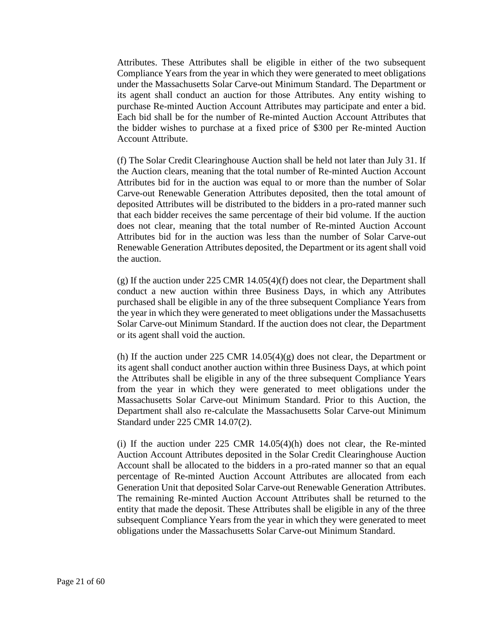Attributes. These Attributes shall be eligible in either of the two subsequent Compliance Years from the year in which they were generated to meet obligations under the Massachusetts Solar Carve-out Minimum Standard. The Department or its agent shall conduct an auction for those Attributes. Any entity wishing to purchase Re-minted Auction Account Attributes may participate and enter a bid. Each bid shall be for the number of Re-minted Auction Account Attributes that the bidder wishes to purchase at a fixed price of \$300 per Re-minted Auction Account Attribute.

(f) The Solar Credit Clearinghouse Auction shall be held not later than July 31. If the Auction clears, meaning that the total number of Re-minted Auction Account Attributes bid for in the auction was equal to or more than the number of Solar Carve-out Renewable Generation Attributes deposited, then the total amount of deposited Attributes will be distributed to the bidders in a pro-rated manner such that each bidder receives the same percentage of their bid volume. If the auction does not clear, meaning that the total number of Re-minted Auction Account Attributes bid for in the auction was less than the number of Solar Carve-out Renewable Generation Attributes deposited, the Department or its agent shall void the auction.

(g) If the auction under 225 CMR 14.05(4)(f) does not clear, the Department shall conduct a new auction within three Business Days, in which any Attributes purchased shall be eligible in any of the three subsequent Compliance Years from the year in which they were generated to meet obligations under the Massachusetts Solar Carve-out Minimum Standard. If the auction does not clear, the Department or its agent shall void the auction.

(h) If the auction under 225 CMR  $14.05(4)(g)$  does not clear, the Department or its agent shall conduct another auction within three Business Days, at which point the Attributes shall be eligible in any of the three subsequent Compliance Years from the year in which they were generated to meet obligations under the Massachusetts Solar Carve-out Minimum Standard. Prior to this Auction, the Department shall also re-calculate the Massachusetts Solar Carve-out Minimum Standard under 225 CMR 14.07(2).

(i) If the auction under  $225$  CMR  $14.05(4)$ (h) does not clear, the Re-minted Auction Account Attributes deposited in the Solar Credit Clearinghouse Auction Account shall be allocated to the bidders in a pro-rated manner so that an equal percentage of Re-minted Auction Account Attributes are allocated from each Generation Unit that deposited Solar Carve-out Renewable Generation Attributes. The remaining Re-minted Auction Account Attributes shall be returned to the entity that made the deposit. These Attributes shall be eligible in any of the three subsequent Compliance Years from the year in which they were generated to meet obligations under the Massachusetts Solar Carve-out Minimum Standard.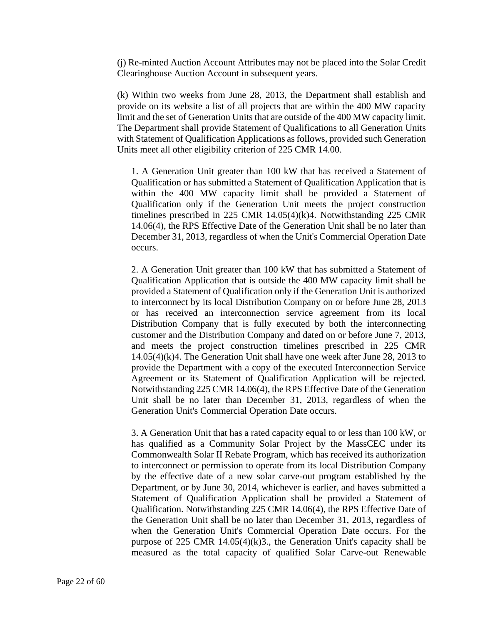(j) Re-minted Auction Account Attributes may not be placed into the Solar Credit Clearinghouse Auction Account in subsequent years.

(k) Within two weeks from June 28, 2013, the Department shall establish and provide on its website a list of all projects that are within the 400 MW capacity limit and the set of Generation Units that are outside of the 400 MW capacity limit. The Department shall provide Statement of Qualifications to all Generation Units with Statement of Qualification Applications as follows, provided such Generation Units meet all other eligibility criterion of 225 CMR 14.00.

1. A Generation Unit greater than 100 kW that has received a Statement of Qualification or has submitted a Statement of Qualification Application that is within the 400 MW capacity limit shall be provided a Statement of Qualification only if the Generation Unit meets the project construction timelines prescribed in 225 CMR 14.05(4)(k)4. Notwithstanding 225 CMR 14.06(4), the RPS Effective Date of the Generation Unit shall be no later than December 31, 2013, regardless of when the Unit's Commercial Operation Date occurs.

2. A Generation Unit greater than 100 kW that has submitted a Statement of Qualification Application that is outside the 400 MW capacity limit shall be provided a Statement of Qualification only if the Generation Unit is authorized to interconnect by its local Distribution Company on or before June 28, 2013 or has received an interconnection service agreement from its local Distribution Company that is fully executed by both the interconnecting customer and the Distribution Company and dated on or before June 7, 2013, and meets the project construction timelines prescribed in 225 CMR 14.05(4)(k)4. The Generation Unit shall have one week after June 28, 2013 to provide the Department with a copy of the executed Interconnection Service Agreement or its Statement of Qualification Application will be rejected. Notwithstanding 225 CMR 14.06(4), the RPS Effective Date of the Generation Unit shall be no later than December 31, 2013, regardless of when the Generation Unit's Commercial Operation Date occurs.

3. A Generation Unit that has a rated capacity equal to or less than 100 kW, or has qualified as a Community Solar Project by the MassCEC under its Commonwealth Solar II Rebate Program, which has received its authorization to interconnect or permission to operate from its local Distribution Company by the effective date of a new solar carve-out program established by the Department, or by June 30, 2014, whichever is earlier, and haves submitted a Statement of Qualification Application shall be provided a Statement of Qualification. Notwithstanding 225 CMR 14.06(4), the RPS Effective Date of the Generation Unit shall be no later than December 31, 2013, regardless of when the Generation Unit's Commercial Operation Date occurs. For the purpose of 225 CMR 14.05(4)(k)3., the Generation Unit's capacity shall be measured as the total capacity of qualified Solar Carve-out Renewable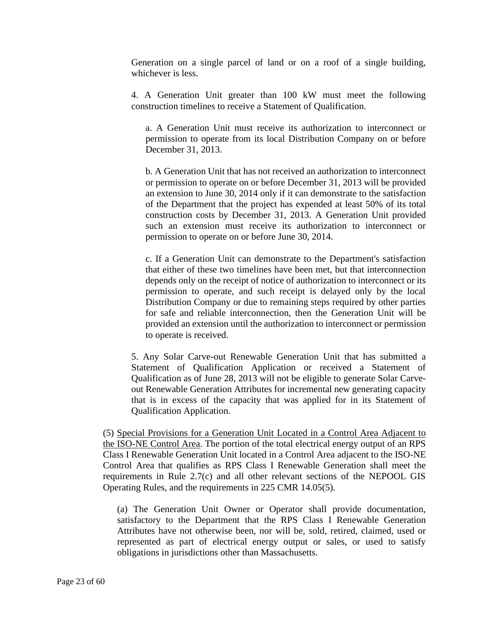Generation on a single parcel of land or on a roof of a single building, whichever is less.

4. A Generation Unit greater than 100 kW must meet the following construction timelines to receive a Statement of Qualification.

a. A Generation Unit must receive its authorization to interconnect or permission to operate from its local Distribution Company on or before December 31, 2013.

b. A Generation Unit that has not received an authorization to interconnect or permission to operate on or before December 31, 2013 will be provided an extension to June 30, 2014 only if it can demonstrate to the satisfaction of the Department that the project has expended at least 50% of its total construction costs by December 31, 2013. A Generation Unit provided such an extension must receive its authorization to interconnect or permission to operate on or before June 30, 2014.

c. If a Generation Unit can demonstrate to the Department's satisfaction that either of these two timelines have been met, but that interconnection depends only on the receipt of notice of authorization to interconnect or its permission to operate, and such receipt is delayed only by the local Distribution Company or due to remaining steps required by other parties for safe and reliable interconnection, then the Generation Unit will be provided an extension until the authorization to interconnect or permission to operate is received.

5. Any Solar Carve-out Renewable Generation Unit that has submitted a Statement of Qualification Application or received a Statement of Qualification as of June 28, 2013 will not be eligible to generate Solar Carveout Renewable Generation Attributes for incremental new generating capacity that is in excess of the capacity that was applied for in its Statement of Qualification Application.

(5) Special Provisions for a Generation Unit Located in a Control Area Adjacent to the ISO-NE Control Area. The portion of the total electrical energy output of an RPS Class I Renewable Generation Unit located in a Control Area adjacent to the ISO-NE Control Area that qualifies as RPS Class I Renewable Generation shall meet the requirements in Rule 2.7(c) and all other relevant sections of the NEPOOL GIS Operating Rules, and the requirements in 225 CMR 14.05(5).

(a) The Generation Unit Owner or Operator shall provide documentation, satisfactory to the Department that the RPS Class I Renewable Generation Attributes have not otherwise been, nor will be, sold, retired, claimed, used or represented as part of electrical energy output or sales, or used to satisfy obligations in jurisdictions other than Massachusetts.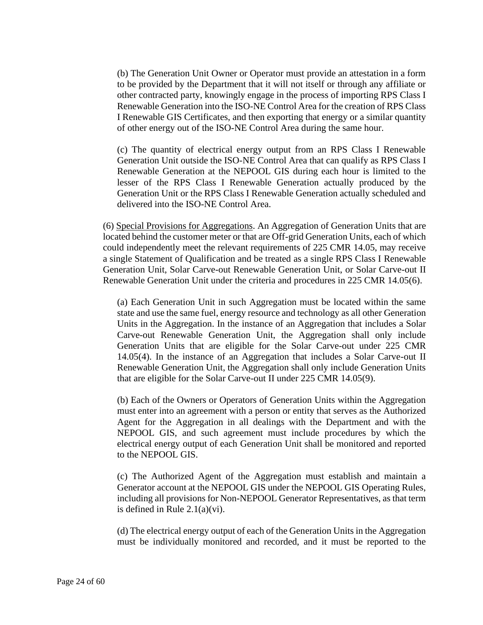(b) The Generation Unit Owner or Operator must provide an attestation in a form to be provided by the Department that it will not itself or through any affiliate or other contracted party, knowingly engage in the process of importing RPS Class I Renewable Generation into the ISO-NE Control Area for the creation of RPS Class I Renewable GIS Certificates, and then exporting that energy or a similar quantity of other energy out of the ISO-NE Control Area during the same hour.

(c) The quantity of electrical energy output from an RPS Class I Renewable Generation Unit outside the ISO-NE Control Area that can qualify as RPS Class I Renewable Generation at the NEPOOL GIS during each hour is limited to the lesser of the RPS Class I Renewable Generation actually produced by the Generation Unit or the RPS Class I Renewable Generation actually scheduled and delivered into the ISO-NE Control Area.

(6) Special Provisions for Aggregations. An Aggregation of Generation Units that are located behind the customer meter or that are Off-grid Generation Units, each of which could independently meet the relevant requirements of 225 CMR 14.05, may receive a single Statement of Qualification and be treated as a single RPS Class I Renewable Generation Unit, Solar Carve-out Renewable Generation Unit, or Solar Carve-out II Renewable Generation Unit under the criteria and procedures in 225 CMR 14.05(6).

(a) Each Generation Unit in such Aggregation must be located within the same state and use the same fuel, energy resource and technology as all other Generation Units in the Aggregation. In the instance of an Aggregation that includes a Solar Carve-out Renewable Generation Unit, the Aggregation shall only include Generation Units that are eligible for the Solar Carve-out under 225 CMR 14.05(4). In the instance of an Aggregation that includes a Solar Carve-out II Renewable Generation Unit, the Aggregation shall only include Generation Units that are eligible for the Solar Carve-out II under 225 CMR 14.05(9).

(b) Each of the Owners or Operators of Generation Units within the Aggregation must enter into an agreement with a person or entity that serves as the Authorized Agent for the Aggregation in all dealings with the Department and with the NEPOOL GIS, and such agreement must include procedures by which the electrical energy output of each Generation Unit shall be monitored and reported to the NEPOOL GIS.

(c) The Authorized Agent of the Aggregation must establish and maintain a Generator account at the NEPOOL GIS under the NEPOOL GIS Operating Rules, including all provisions for Non-NEPOOL Generator Representatives, as that term is defined in Rule 2.1(a)(vi).

(d) The electrical energy output of each of the Generation Units in the Aggregation must be individually monitored and recorded, and it must be reported to the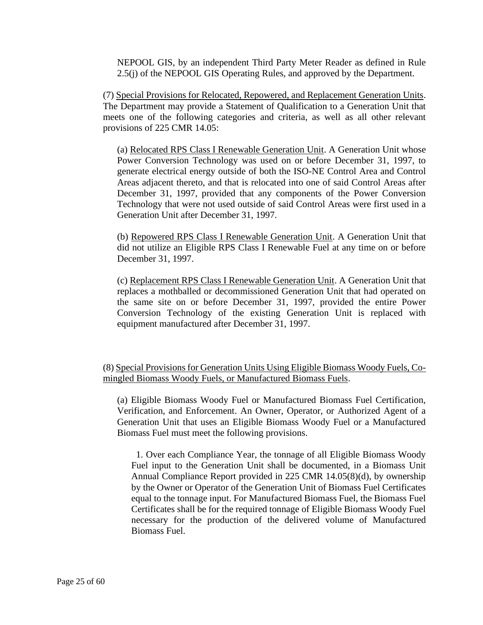NEPOOL GIS, by an independent Third Party Meter Reader as defined in Rule 2.5(j) of the NEPOOL GIS Operating Rules, and approved by the Department.

(7) Special Provisions for Relocated, Repowered, and Replacement Generation Units. The Department may provide a Statement of Qualification to a Generation Unit that meets one of the following categories and criteria, as well as all other relevant provisions of 225 CMR 14.05:

(a) Relocated RPS Class I Renewable Generation Unit. A Generation Unit whose Power Conversion Technology was used on or before December 31, 1997, to generate electrical energy outside of both the ISO-NE Control Area and Control Areas adjacent thereto, and that is relocated into one of said Control Areas after December 31, 1997, provided that any components of the Power Conversion Technology that were not used outside of said Control Areas were first used in a Generation Unit after December 31, 1997.

(b) Repowered RPS Class I Renewable Generation Unit. A Generation Unit that did not utilize an Eligible RPS Class I Renewable Fuel at any time on or before December 31, 1997.

(c) Replacement RPS Class I Renewable Generation Unit. A Generation Unit that replaces a mothballed or decommissioned Generation Unit that had operated on the same site on or before December 31, 1997, provided the entire Power Conversion Technology of the existing Generation Unit is replaced with equipment manufactured after December 31, 1997.

(8) Special Provisions for Generation Units Using Eligible Biomass Woody Fuels, Comingled Biomass Woody Fuels, or Manufactured Biomass Fuels.

(a) Eligible Biomass Woody Fuel or Manufactured Biomass Fuel Certification, Verification, and Enforcement. An Owner, Operator, or Authorized Agent of a Generation Unit that uses an Eligible Biomass Woody Fuel or a Manufactured Biomass Fuel must meet the following provisions.

 1. Over each Compliance Year, the tonnage of all Eligible Biomass Woody Fuel input to the Generation Unit shall be documented, in a Biomass Unit Annual Compliance Report provided in 225 CMR 14.05(8)(d), by ownership by the Owner or Operator of the Generation Unit of Biomass Fuel Certificates equal to the tonnage input. For Manufactured Biomass Fuel, the Biomass Fuel Certificates shall be for the required tonnage of Eligible Biomass Woody Fuel necessary for the production of the delivered volume of Manufactured Biomass Fuel.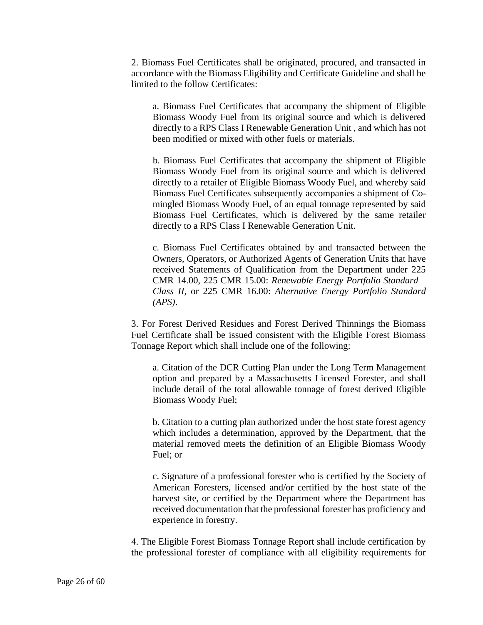2. Biomass Fuel Certificates shall be originated, procured, and transacted in accordance with the Biomass Eligibility and Certificate Guideline and shall be limited to the follow Certificates:

a. Biomass Fuel Certificates that accompany the shipment of Eligible Biomass Woody Fuel from its original source and which is delivered directly to a RPS Class I Renewable Generation Unit , and which has not been modified or mixed with other fuels or materials.

b. Biomass Fuel Certificates that accompany the shipment of Eligible Biomass Woody Fuel from its original source and which is delivered directly to a retailer of Eligible Biomass Woody Fuel, and whereby said Biomass Fuel Certificates subsequently accompanies a shipment of Comingled Biomass Woody Fuel, of an equal tonnage represented by said Biomass Fuel Certificates, which is delivered by the same retailer directly to a RPS Class I Renewable Generation Unit.

c. Biomass Fuel Certificates obtained by and transacted between the Owners, Operators, or Authorized Agents of Generation Units that have received Statements of Qualification from the Department under 225 CMR 14.00, 225 CMR 15.00: *Renewable Energy Portfolio Standard – Class II*, or 225 CMR 16.00: *Alternative Energy Portfolio Standard (APS)*.

3. For Forest Derived Residues and Forest Derived Thinnings the Biomass Fuel Certificate shall be issued consistent with the Eligible Forest Biomass Tonnage Report which shall include one of the following:

a. Citation of the DCR Cutting Plan under the Long Term Management option and prepared by a Massachusetts Licensed Forester, and shall include detail of the total allowable tonnage of forest derived Eligible Biomass Woody Fuel;

b. Citation to a cutting plan authorized under the host state forest agency which includes a determination, approved by the Department, that the material removed meets the definition of an Eligible Biomass Woody Fuel; or

c. Signature of a professional forester who is certified by the Society of American Foresters, licensed and/or certified by the host state of the harvest site, or certified by the Department where the Department has received documentation that the professional forester has proficiency and experience in forestry.

4. The Eligible Forest Biomass Tonnage Report shall include certification by the professional forester of compliance with all eligibility requirements for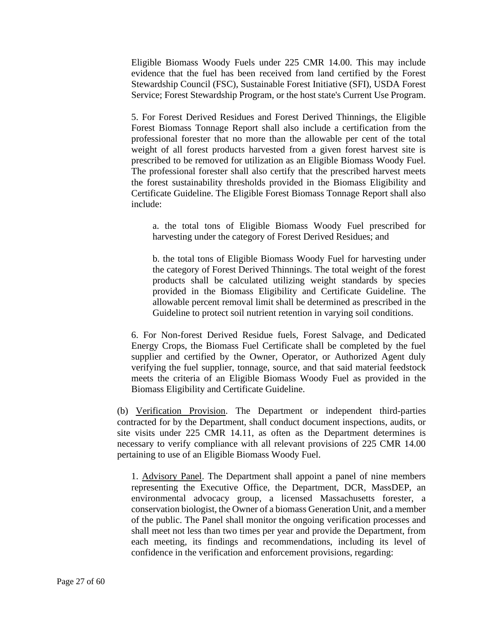Eligible Biomass Woody Fuels under 225 CMR 14.00. This may include evidence that the fuel has been received from land certified by the Forest Stewardship Council (FSC), Sustainable Forest Initiative (SFI), USDA Forest Service; Forest Stewardship Program, or the host state's Current Use Program.

5. For Forest Derived Residues and Forest Derived Thinnings, the Eligible Forest Biomass Tonnage Report shall also include a certification from the professional forester that no more than the allowable per cent of the total weight of all forest products harvested from a given forest harvest site is prescribed to be removed for utilization as an Eligible Biomass Woody Fuel. The professional forester shall also certify that the prescribed harvest meets the forest sustainability thresholds provided in the Biomass Eligibility and Certificate Guideline. The Eligible Forest Biomass Tonnage Report shall also include:

a. the total tons of Eligible Biomass Woody Fuel prescribed for harvesting under the category of Forest Derived Residues; and

b. the total tons of Eligible Biomass Woody Fuel for harvesting under the category of Forest Derived Thinnings. The total weight of the forest products shall be calculated utilizing weight standards by species provided in the Biomass Eligibility and Certificate Guideline. The allowable percent removal limit shall be determined as prescribed in the Guideline to protect soil nutrient retention in varying soil conditions.

6. For Non-forest Derived Residue fuels, Forest Salvage, and Dedicated Energy Crops, the Biomass Fuel Certificate shall be completed by the fuel supplier and certified by the Owner, Operator, or Authorized Agent duly verifying the fuel supplier, tonnage, source, and that said material feedstock meets the criteria of an Eligible Biomass Woody Fuel as provided in the Biomass Eligibility and Certificate Guideline.

(b) Verification Provision. The Department or independent third-parties contracted for by the Department, shall conduct document inspections, audits, or site visits under 225 CMR 14.11, as often as the Department determines is necessary to verify compliance with all relevant provisions of 225 CMR 14.00 pertaining to use of an Eligible Biomass Woody Fuel.

1. Advisory Panel. The Department shall appoint a panel of nine members representing the Executive Office, the Department, DCR, MassDEP, an environmental advocacy group, a licensed Massachusetts forester, a conservation biologist, the Owner of a biomass Generation Unit, and a member of the public. The Panel shall monitor the ongoing verification processes and shall meet not less than two times per year and provide the Department, from each meeting, its findings and recommendations, including its level of confidence in the verification and enforcement provisions, regarding: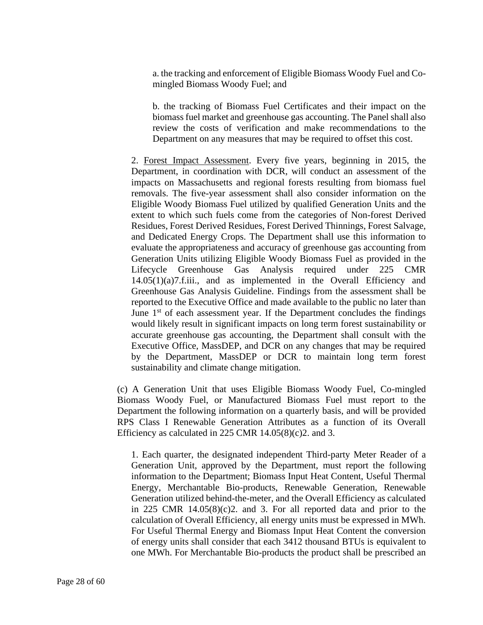a. the tracking and enforcement of Eligible Biomass Woody Fuel and Comingled Biomass Woody Fuel; and

b. the tracking of Biomass Fuel Certificates and their impact on the biomass fuel market and greenhouse gas accounting. The Panel shall also review the costs of verification and make recommendations to the Department on any measures that may be required to offset this cost.

2. Forest Impact Assessment. Every five years, beginning in 2015, the Department, in coordination with DCR, will conduct an assessment of the impacts on Massachusetts and regional forests resulting from biomass fuel removals. The five-year assessment shall also consider information on the Eligible Woody Biomass Fuel utilized by qualified Generation Units and the extent to which such fuels come from the categories of Non-forest Derived Residues, Forest Derived Residues, Forest Derived Thinnings, Forest Salvage, and Dedicated Energy Crops. The Department shall use this information to evaluate the appropriateness and accuracy of greenhouse gas accounting from Generation Units utilizing Eligible Woody Biomass Fuel as provided in the Lifecycle Greenhouse Gas Analysis required under 225 CMR 14.05(1)(a)7.f.iii., and as implemented in the Overall Efficiency and Greenhouse Gas Analysis Guideline. Findings from the assessment shall be reported to the Executive Office and made available to the public no later than June  $1<sup>st</sup>$  of each assessment year. If the Department concludes the findings would likely result in significant impacts on long term forest sustainability or accurate greenhouse gas accounting, the Department shall consult with the Executive Office, MassDEP, and DCR on any changes that may be required by the Department, MassDEP or DCR to maintain long term forest sustainability and climate change mitigation.

(c) A Generation Unit that uses Eligible Biomass Woody Fuel, Co-mingled Biomass Woody Fuel, or Manufactured Biomass Fuel must report to the Department the following information on a quarterly basis, and will be provided RPS Class I Renewable Generation Attributes as a function of its Overall Efficiency as calculated in 225 CMR 14.05(8)(c)2. and 3.

1. Each quarter, the designated independent Third-party Meter Reader of a Generation Unit, approved by the Department, must report the following information to the Department; Biomass Input Heat Content, Useful Thermal Energy, Merchantable Bio-products, Renewable Generation, Renewable Generation utilized behind-the-meter, and the Overall Efficiency as calculated in 225 CMR 14.05(8)(c)2. and 3. For all reported data and prior to the calculation of Overall Efficiency, all energy units must be expressed in MWh. For Useful Thermal Energy and Biomass Input Heat Content the conversion of energy units shall consider that each 3412 thousand BTUs is equivalent to one MWh. For Merchantable Bio-products the product shall be prescribed an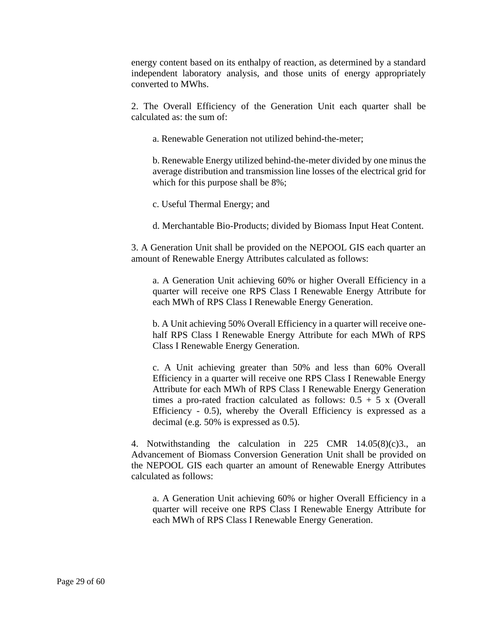energy content based on its enthalpy of reaction, as determined by a standard independent laboratory analysis, and those units of energy appropriately converted to MWhs.

2. The Overall Efficiency of the Generation Unit each quarter shall be calculated as: the sum of:

a. Renewable Generation not utilized behind-the-meter;

b. Renewable Energy utilized behind-the-meter divided by one minus the average distribution and transmission line losses of the electrical grid for which for this purpose shall be 8%;

c. Useful Thermal Energy; and

d. Merchantable Bio-Products; divided by Biomass Input Heat Content.

3. A Generation Unit shall be provided on the NEPOOL GIS each quarter an amount of Renewable Energy Attributes calculated as follows:

a. A Generation Unit achieving 60% or higher Overall Efficiency in a quarter will receive one RPS Class I Renewable Energy Attribute for each MWh of RPS Class I Renewable Energy Generation.

b. A Unit achieving 50% Overall Efficiency in a quarter will receive onehalf RPS Class I Renewable Energy Attribute for each MWh of RPS Class I Renewable Energy Generation.

c. A Unit achieving greater than 50% and less than 60% Overall Efficiency in a quarter will receive one RPS Class I Renewable Energy Attribute for each MWh of RPS Class I Renewable Energy Generation times a pro-rated fraction calculated as follows:  $0.5 + 5$  x (Overall Efficiency - 0.5), whereby the Overall Efficiency is expressed as a decimal (e.g. 50% is expressed as 0.5).

4. Notwithstanding the calculation in 225 CMR 14.05(8)(c)3., an Advancement of Biomass Conversion Generation Unit shall be provided on the NEPOOL GIS each quarter an amount of Renewable Energy Attributes calculated as follows:

a. A Generation Unit achieving 60% or higher Overall Efficiency in a quarter will receive one RPS Class I Renewable Energy Attribute for each MWh of RPS Class I Renewable Energy Generation.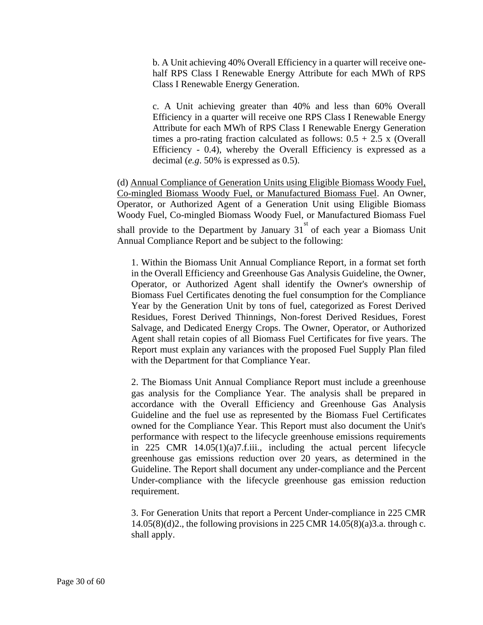b. A Unit achieving 40% Overall Efficiency in a quarter will receive onehalf RPS Class I Renewable Energy Attribute for each MWh of RPS Class I Renewable Energy Generation.

c. A Unit achieving greater than 40% and less than 60% Overall Efficiency in a quarter will receive one RPS Class I Renewable Energy Attribute for each MWh of RPS Class I Renewable Energy Generation times a pro-rating fraction calculated as follows:  $0.5 + 2.5$  x (Overall Efficiency - 0.4), whereby the Overall Efficiency is expressed as a decimal (*e.g*. 50% is expressed as 0.5).

(d) Annual Compliance of Generation Units using Eligible Biomass Woody Fuel, Co-mingled Biomass Woody Fuel, or Manufactured Biomass Fuel. An Owner, Operator, or Authorized Agent of a Generation Unit using Eligible Biomass Woody Fuel, Co-mingled Biomass Woody Fuel, or Manufactured Biomass Fuel shall provide to the Department by January  $31<sup>st</sup>$  of each year a Biomass Unit Annual Compliance Report and be subject to the following:

1. Within the Biomass Unit Annual Compliance Report, in a format set forth in the Overall Efficiency and Greenhouse Gas Analysis Guideline, the Owner, Operator, or Authorized Agent shall identify the Owner's ownership of Biomass Fuel Certificates denoting the fuel consumption for the Compliance Year by the Generation Unit by tons of fuel, categorized as Forest Derived Residues, Forest Derived Thinnings, Non-forest Derived Residues, Forest Salvage, and Dedicated Energy Crops. The Owner, Operator, or Authorized Agent shall retain copies of all Biomass Fuel Certificates for five years. The Report must explain any variances with the proposed Fuel Supply Plan filed with the Department for that Compliance Year.

2. The Biomass Unit Annual Compliance Report must include a greenhouse gas analysis for the Compliance Year. The analysis shall be prepared in accordance with the Overall Efficiency and Greenhouse Gas Analysis Guideline and the fuel use as represented by the Biomass Fuel Certificates owned for the Compliance Year. This Report must also document the Unit's performance with respect to the lifecycle greenhouse emissions requirements in 225 CMR 14.05(1)(a)7.f.iii., including the actual percent lifecycle greenhouse gas emissions reduction over 20 years, as determined in the Guideline. The Report shall document any under-compliance and the Percent Under-compliance with the lifecycle greenhouse gas emission reduction requirement.

3. For Generation Units that report a Percent Under-compliance in 225 CMR 14.05(8)(d)2., the following provisions in 225 CMR 14.05(8)(a)3.a. through c. shall apply.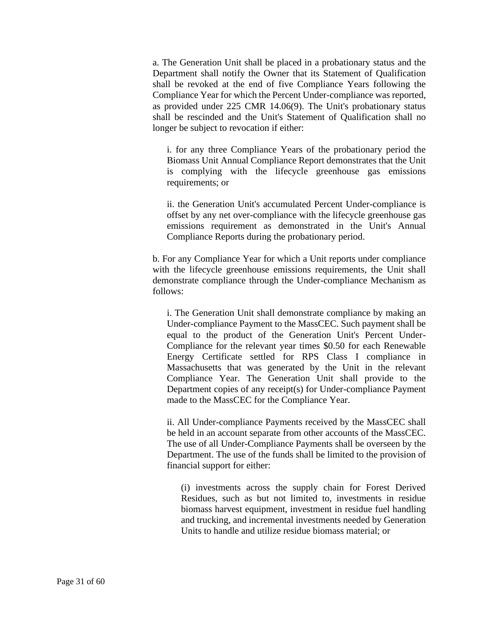a. The Generation Unit shall be placed in a probationary status and the Department shall notify the Owner that its Statement of Qualification shall be revoked at the end of five Compliance Years following the Compliance Year for which the Percent Under-compliance was reported, as provided under 225 CMR 14.06(9). The Unit's probationary status shall be rescinded and the Unit's Statement of Qualification shall no longer be subject to revocation if either:

i. for any three Compliance Years of the probationary period the Biomass Unit Annual Compliance Report demonstrates that the Unit is complying with the lifecycle greenhouse gas emissions requirements; or

ii. the Generation Unit's accumulated Percent Under-compliance is offset by any net over-compliance with the lifecycle greenhouse gas emissions requirement as demonstrated in the Unit's Annual Compliance Reports during the probationary period.

b. For any Compliance Year for which a Unit reports under compliance with the lifecycle greenhouse emissions requirements, the Unit shall demonstrate compliance through the Under-compliance Mechanism as follows:

i. The Generation Unit shall demonstrate compliance by making an Under-compliance Payment to the MassCEC. Such payment shall be equal to the product of the Generation Unit's Percent Under-Compliance for the relevant year times \$0.50 for each Renewable Energy Certificate settled for RPS Class I compliance in Massachusetts that was generated by the Unit in the relevant Compliance Year. The Generation Unit shall provide to the Department copies of any receipt(s) for Under-compliance Payment made to the MassCEC for the Compliance Year.

ii. All Under-compliance Payments received by the MassCEC shall be held in an account separate from other accounts of the MassCEC. The use of all Under-Compliance Payments shall be overseen by the Department. The use of the funds shall be limited to the provision of financial support for either:

(i) investments across the supply chain for Forest Derived Residues, such as but not limited to, investments in residue biomass harvest equipment, investment in residue fuel handling and trucking, and incremental investments needed by Generation Units to handle and utilize residue biomass material; or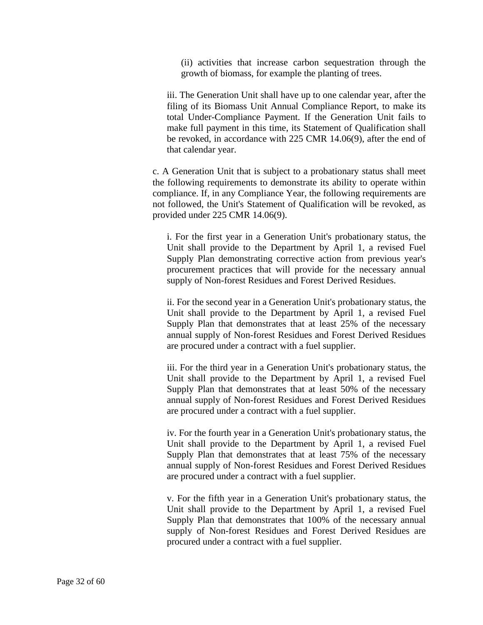(ii) activities that increase carbon sequestration through the growth of biomass, for example the planting of trees.

iii. The Generation Unit shall have up to one calendar year, after the filing of its Biomass Unit Annual Compliance Report, to make its total Under-Compliance Payment. If the Generation Unit fails to make full payment in this time, its Statement of Qualification shall be revoked, in accordance with 225 CMR 14.06(9), after the end of that calendar year.

c. A Generation Unit that is subject to a probationary status shall meet the following requirements to demonstrate its ability to operate within compliance. If, in any Compliance Year, the following requirements are not followed, the Unit's Statement of Qualification will be revoked, as provided under 225 CMR 14.06(9).

i. For the first year in a Generation Unit's probationary status, the Unit shall provide to the Department by April 1, a revised Fuel Supply Plan demonstrating corrective action from previous year's procurement practices that will provide for the necessary annual supply of Non-forest Residues and Forest Derived Residues.

ii. For the second year in a Generation Unit's probationary status, the Unit shall provide to the Department by April 1, a revised Fuel Supply Plan that demonstrates that at least 25% of the necessary annual supply of Non-forest Residues and Forest Derived Residues are procured under a contract with a fuel supplier.

iii. For the third year in a Generation Unit's probationary status, the Unit shall provide to the Department by April 1, a revised Fuel Supply Plan that demonstrates that at least 50% of the necessary annual supply of Non-forest Residues and Forest Derived Residues are procured under a contract with a fuel supplier.

iv. For the fourth year in a Generation Unit's probationary status, the Unit shall provide to the Department by April 1, a revised Fuel Supply Plan that demonstrates that at least 75% of the necessary annual supply of Non-forest Residues and Forest Derived Residues are procured under a contract with a fuel supplier.

v. For the fifth year in a Generation Unit's probationary status, the Unit shall provide to the Department by April 1, a revised Fuel Supply Plan that demonstrates that 100% of the necessary annual supply of Non-forest Residues and Forest Derived Residues are procured under a contract with a fuel supplier.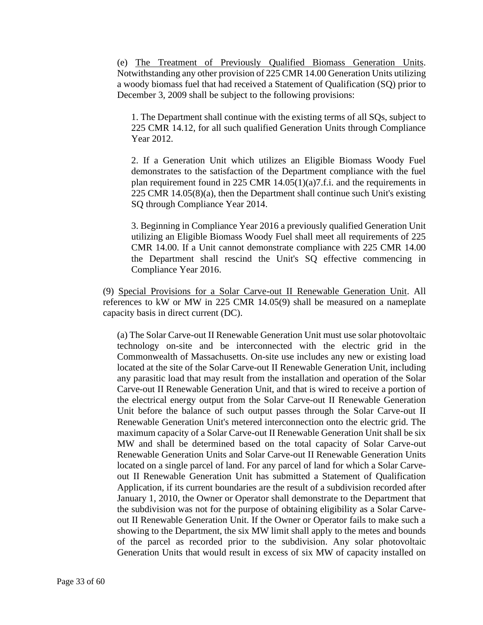(e) The Treatment of Previously Qualified Biomass Generation Units. Notwithstanding any other provision of 225 CMR 14.00 Generation Units utilizing a woody biomass fuel that had received a Statement of Qualification (SQ) prior to December 3, 2009 shall be subject to the following provisions:

1. The Department shall continue with the existing terms of all SQs, subject to 225 CMR 14.12, for all such qualified Generation Units through Compliance Year 2012.

2. If a Generation Unit which utilizes an Eligible Biomass Woody Fuel demonstrates to the satisfaction of the Department compliance with the fuel plan requirement found in 225 CMR 14.05(1)(a)7.f.i. and the requirements in 225 CMR 14.05(8)(a), then the Department shall continue such Unit's existing SQ through Compliance Year 2014.

3. Beginning in Compliance Year 2016 a previously qualified Generation Unit utilizing an Eligible Biomass Woody Fuel shall meet all requirements of 225 CMR 14.00. If a Unit cannot demonstrate compliance with 225 CMR 14.00 the Department shall rescind the Unit's SQ effective commencing in Compliance Year 2016.

(9) Special Provisions for a Solar Carve-out II Renewable Generation Unit. All references to kW or MW in 225 CMR 14.05(9) shall be measured on a nameplate capacity basis in direct current (DC).

(a) The Solar Carve-out II Renewable Generation Unit must use solar photovoltaic technology on-site and be interconnected with the electric grid in the Commonwealth of Massachusetts. On-site use includes any new or existing load located at the site of the Solar Carve-out II Renewable Generation Unit, including any parasitic load that may result from the installation and operation of the Solar Carve-out II Renewable Generation Unit, and that is wired to receive a portion of the electrical energy output from the Solar Carve-out II Renewable Generation Unit before the balance of such output passes through the Solar Carve-out II Renewable Generation Unit's metered interconnection onto the electric grid. The maximum capacity of a Solar Carve-out II Renewable Generation Unit shall be six MW and shall be determined based on the total capacity of Solar Carve-out Renewable Generation Units and Solar Carve-out II Renewable Generation Units located on a single parcel of land. For any parcel of land for which a Solar Carveout II Renewable Generation Unit has submitted a Statement of Qualification Application, if its current boundaries are the result of a subdivision recorded after January 1, 2010, the Owner or Operator shall demonstrate to the Department that the subdivision was not for the purpose of obtaining eligibility as a Solar Carveout II Renewable Generation Unit. If the Owner or Operator fails to make such a showing to the Department, the six MW limit shall apply to the metes and bounds of the parcel as recorded prior to the subdivision. Any solar photovoltaic Generation Units that would result in excess of six MW of capacity installed on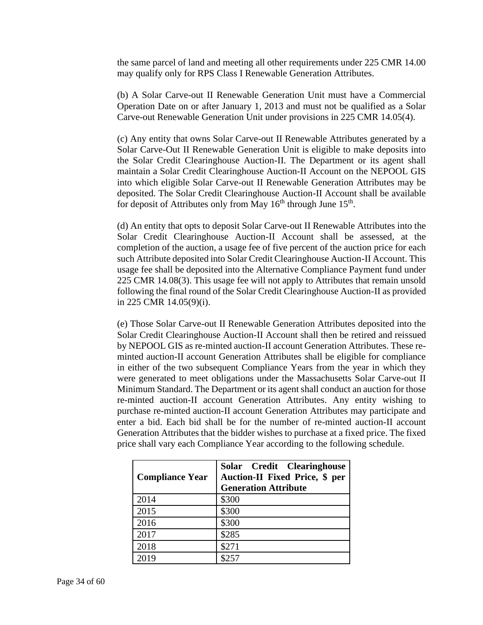the same parcel of land and meeting all other requirements under 225 CMR 14.00 may qualify only for RPS Class I Renewable Generation Attributes.

(b) A Solar Carve-out II Renewable Generation Unit must have a Commercial Operation Date on or after January 1, 2013 and must not be qualified as a Solar Carve-out Renewable Generation Unit under provisions in 225 CMR 14.05(4).

(c) Any entity that owns Solar Carve-out II Renewable Attributes generated by a Solar Carve-Out II Renewable Generation Unit is eligible to make deposits into the Solar Credit Clearinghouse Auction-II. The Department or its agent shall maintain a Solar Credit Clearinghouse Auction-II Account on the NEPOOL GIS into which eligible Solar Carve-out II Renewable Generation Attributes may be deposited. The Solar Credit Clearinghouse Auction-II Account shall be available for deposit of Attributes only from May 16<sup>th</sup> through June 15<sup>th</sup>.

(d) An entity that opts to deposit Solar Carve-out II Renewable Attributes into the Solar Credit Clearinghouse Auction-II Account shall be assessed, at the completion of the auction, a usage fee of five percent of the auction price for each such Attribute deposited into Solar Credit Clearinghouse Auction-II Account. This usage fee shall be deposited into the Alternative Compliance Payment fund under 225 CMR 14.08(3). This usage fee will not apply to Attributes that remain unsold following the final round of the Solar Credit Clearinghouse Auction-II as provided in 225 CMR 14.05(9)(i).

(e) Those Solar Carve-out II Renewable Generation Attributes deposited into the Solar Credit Clearinghouse Auction-II Account shall then be retired and reissued by NEPOOL GIS as re-minted auction-II account Generation Attributes. These reminted auction-II account Generation Attributes shall be eligible for compliance in either of the two subsequent Compliance Years from the year in which they were generated to meet obligations under the Massachusetts Solar Carve-out II Minimum Standard. The Department or its agent shall conduct an auction for those re-minted auction-II account Generation Attributes. Any entity wishing to purchase re-minted auction-II account Generation Attributes may participate and enter a bid. Each bid shall be for the number of re-minted auction-II account Generation Attributes that the bidder wishes to purchase at a fixed price. The fixed price shall vary each Compliance Year according to the following schedule.

| <b>Compliance Year</b> | Solar Credit Clearinghouse<br><b>Auction-II Fixed Price, \$ per</b><br><b>Generation Attribute</b> |
|------------------------|----------------------------------------------------------------------------------------------------|
| 2014                   | \$300                                                                                              |
| 2015                   | \$300                                                                                              |
| 2016                   | \$300                                                                                              |
| 2017                   | \$285                                                                                              |
| 2018                   | \$271                                                                                              |
| 2019                   | ぐつらつ                                                                                               |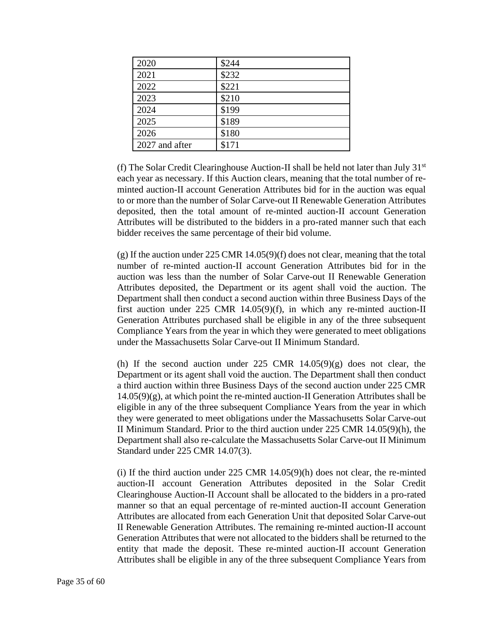| 2020           | \$244 |
|----------------|-------|
| 2021           | \$232 |
| 2022           | \$221 |
| 2023           | \$210 |
| 2024           | \$199 |
| 2025           | \$189 |
| 2026           | \$180 |
| 2027 and after | \$171 |

(f) The Solar Credit Clearinghouse Auction-II shall be held not later than July  $31<sup>st</sup>$ each year as necessary. If this Auction clears, meaning that the total number of reminted auction-II account Generation Attributes bid for in the auction was equal to or more than the number of Solar Carve-out II Renewable Generation Attributes deposited, then the total amount of re-minted auction-II account Generation Attributes will be distributed to the bidders in a pro-rated manner such that each bidder receives the same percentage of their bid volume.

(g) If the auction under 225 CMR 14.05(9)(f) does not clear, meaning that the total number of re-minted auction-II account Generation Attributes bid for in the auction was less than the number of Solar Carve-out II Renewable Generation Attributes deposited, the Department or its agent shall void the auction. The Department shall then conduct a second auction within three Business Days of the first auction under 225 CMR 14.05(9)(f), in which any re-minted auction-II Generation Attributes purchased shall be eligible in any of the three subsequent Compliance Years from the year in which they were generated to meet obligations under the Massachusetts Solar Carve-out II Minimum Standard.

(h) If the second auction under 225 CMR  $14.05(9)(g)$  does not clear, the Department or its agent shall void the auction. The Department shall then conduct a third auction within three Business Days of the second auction under 225 CMR  $14.05(9)(g)$ , at which point the re-minted auction-II Generation Attributes shall be eligible in any of the three subsequent Compliance Years from the year in which they were generated to meet obligations under the Massachusetts Solar Carve-out II Minimum Standard. Prior to the third auction under 225 CMR 14.05(9)(h), the Department shall also re-calculate the Massachusetts Solar Carve-out II Minimum Standard under 225 CMR 14.07(3).

(i) If the third auction under 225 CMR 14.05(9)(h) does not clear, the re-minted auction-II account Generation Attributes deposited in the Solar Credit Clearinghouse Auction-II Account shall be allocated to the bidders in a pro-rated manner so that an equal percentage of re-minted auction-II account Generation Attributes are allocated from each Generation Unit that deposited Solar Carve-out II Renewable Generation Attributes. The remaining re-minted auction-II account Generation Attributes that were not allocated to the bidders shall be returned to the entity that made the deposit. These re-minted auction-II account Generation Attributes shall be eligible in any of the three subsequent Compliance Years from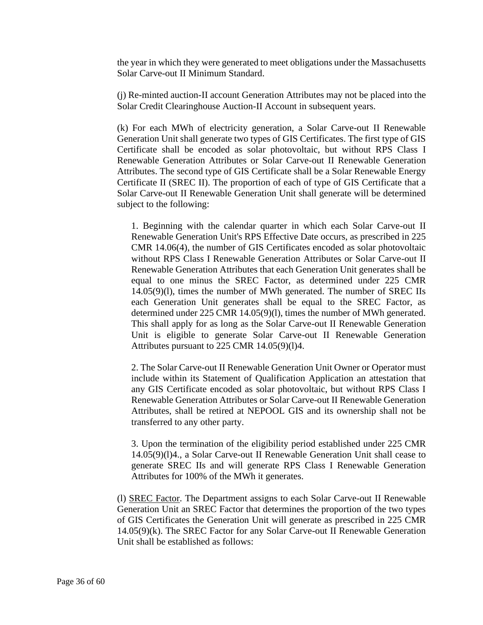the year in which they were generated to meet obligations under the Massachusetts Solar Carve-out II Minimum Standard.

(j) Re-minted auction-II account Generation Attributes may not be placed into the Solar Credit Clearinghouse Auction-II Account in subsequent years.

(k) For each MWh of electricity generation, a Solar Carve-out II Renewable Generation Unit shall generate two types of GIS Certificates. The first type of GIS Certificate shall be encoded as solar photovoltaic, but without RPS Class I Renewable Generation Attributes or Solar Carve-out II Renewable Generation Attributes. The second type of GIS Certificate shall be a Solar Renewable Energy Certificate II (SREC II). The proportion of each of type of GIS Certificate that a Solar Carve-out II Renewable Generation Unit shall generate will be determined subject to the following:

1. Beginning with the calendar quarter in which each Solar Carve-out II Renewable Generation Unit's RPS Effective Date occurs, as prescribed in 225 CMR 14.06(4), the number of GIS Certificates encoded as solar photovoltaic without RPS Class I Renewable Generation Attributes or Solar Carve-out II Renewable Generation Attributes that each Generation Unit generates shall be equal to one minus the SREC Factor, as determined under 225 CMR 14.05(9)(l), times the number of MWh generated. The number of SREC IIs each Generation Unit generates shall be equal to the SREC Factor, as determined under 225 CMR 14.05(9)(l), times the number of MWh generated. This shall apply for as long as the Solar Carve-out II Renewable Generation Unit is eligible to generate Solar Carve-out II Renewable Generation Attributes pursuant to 225 CMR 14.05(9)(l)4.

2. The Solar Carve-out II Renewable Generation Unit Owner or Operator must include within its Statement of Qualification Application an attestation that any GIS Certificate encoded as solar photovoltaic, but without RPS Class I Renewable Generation Attributes or Solar Carve-out II Renewable Generation Attributes, shall be retired at NEPOOL GIS and its ownership shall not be transferred to any other party.

3. Upon the termination of the eligibility period established under 225 CMR 14.05(9)(l)4., a Solar Carve-out II Renewable Generation Unit shall cease to generate SREC IIs and will generate RPS Class I Renewable Generation Attributes for 100% of the MWh it generates.

(l) SREC Factor. The Department assigns to each Solar Carve-out II Renewable Generation Unit an SREC Factor that determines the proportion of the two types of GIS Certificates the Generation Unit will generate as prescribed in 225 CMR 14.05(9)(k). The SREC Factor for any Solar Carve-out II Renewable Generation Unit shall be established as follows: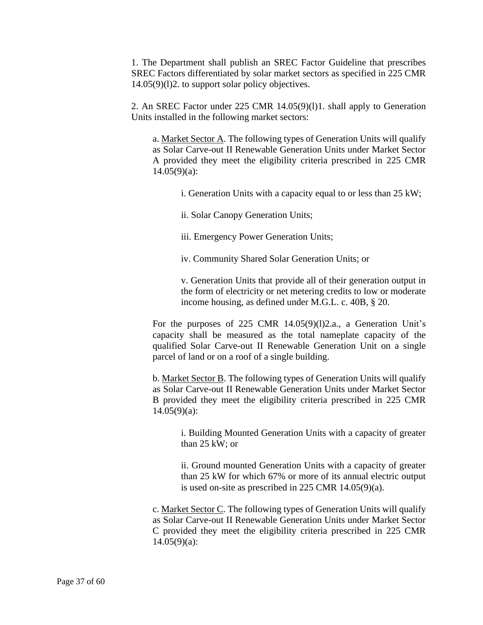1. The Department shall publish an SREC Factor Guideline that prescribes SREC Factors differentiated by solar market sectors as specified in 225 CMR 14.05(9)(l)2. to support solar policy objectives.

2. An SREC Factor under 225 CMR 14.05(9)(l)1. shall apply to Generation Units installed in the following market sectors:

a. Market Sector A. The following types of Generation Units will qualify as Solar Carve-out II Renewable Generation Units under Market Sector A provided they meet the eligibility criteria prescribed in 225 CMR  $14.05(9)(a)$ :

- i. Generation Units with a capacity equal to or less than 25 kW;
- ii. Solar Canopy Generation Units;
- iii. Emergency Power Generation Units;
- iv. Community Shared Solar Generation Units; or

v. Generation Units that provide all of their generation output in the form of electricity or net metering credits to low or moderate income housing, as defined under M.G.L. c. 40B, § 20.

For the purposes of 225 CMR 14.05(9)(l)2.a., a Generation Unit's capacity shall be measured as the total nameplate capacity of the qualified Solar Carve-out II Renewable Generation Unit on a single parcel of land or on a roof of a single building.

b. Market Sector B. The following types of Generation Units will qualify as Solar Carve-out II Renewable Generation Units under Market Sector B provided they meet the eligibility criteria prescribed in 225 CMR 14.05(9)(a):

i. Building Mounted Generation Units with a capacity of greater than 25 kW; or

ii. Ground mounted Generation Units with a capacity of greater than 25 kW for which 67% or more of its annual electric output is used on-site as prescribed in 225 CMR 14.05(9)(a).

c. Market Sector C. The following types of Generation Units will qualify as Solar Carve-out II Renewable Generation Units under Market Sector C provided they meet the eligibility criteria prescribed in 225 CMR 14.05(9)(a):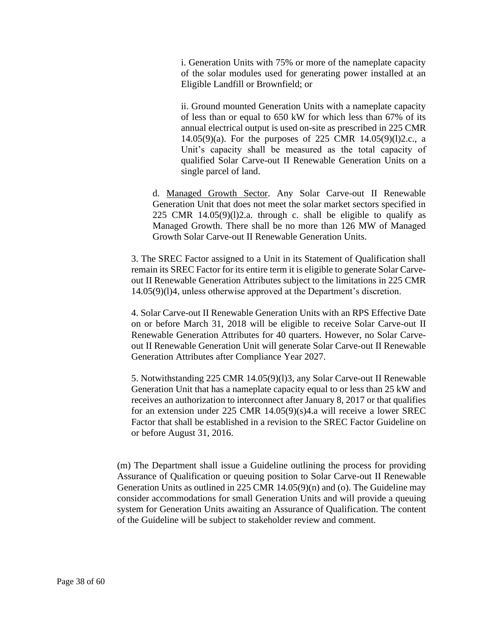i. Generation Units with 75% or more of the nameplate capacity of the solar modules used for generating power installed at an Eligible Landfill or Brownfield; or

ii. Ground mounted Generation Units with a nameplate capacity of less than or equal to 650 kW for which less than 67% of its annual electrical output is used on-site as prescribed in 225 CMR 14.05(9)(a). For the purposes of 225 CMR 14.05(9)(l)2.c., a Unit's capacity shall be measured as the total capacity of qualified Solar Carve-out II Renewable Generation Units on a single parcel of land.

d. Managed Growth Sector. Any Solar Carve-out II Renewable Generation Unit that does not meet the solar market sectors specified in 225 CMR  $14.05(9)(1)2.a.$  through c. shall be eligible to qualify as Managed Growth. There shall be no more than 126 MW of Managed Growth Solar Carve-out II Renewable Generation Units.

3. The SREC Factor assigned to a Unit in its Statement of Qualification shall remain its SREC Factor for its entire term it is eligible to generate Solar Carveout II Renewable Generation Attributes subject to the limitations in 225 CMR 14.05(9)(l)4, unless otherwise approved at the Department's discretion.

4. Solar Carve-out II Renewable Generation Units with an RPS Effective Date on or before March 31, 2018 will be eligible to receive Solar Carve-out II Renewable Generation Attributes for 40 quarters. However, no Solar Carveout II Renewable Generation Unit will generate Solar Carve-out II Renewable Generation Attributes after Compliance Year 2027.

5. Notwithstanding 225 CMR 14.05(9)(l)3, any Solar Carve-out II Renewable Generation Unit that has a nameplate capacity equal to or less than 25 kW and receives an authorization to interconnect after January 8, 2017 or that qualifies for an extension under 225 CMR 14.05(9)(s)4.a will receive a lower SREC Factor that shall be established in a revision to the SREC Factor Guideline on or before August 31, 2016.

(m) The Department shall issue a Guideline outlining the process for providing Assurance of Qualification or queuing position to Solar Carve-out II Renewable Generation Units as outlined in 225 CMR 14.05(9)(n) and (o). The Guideline may consider accommodations for small Generation Units and will provide a queuing system for Generation Units awaiting an Assurance of Qualification. The content of the Guideline will be subject to stakeholder review and comment.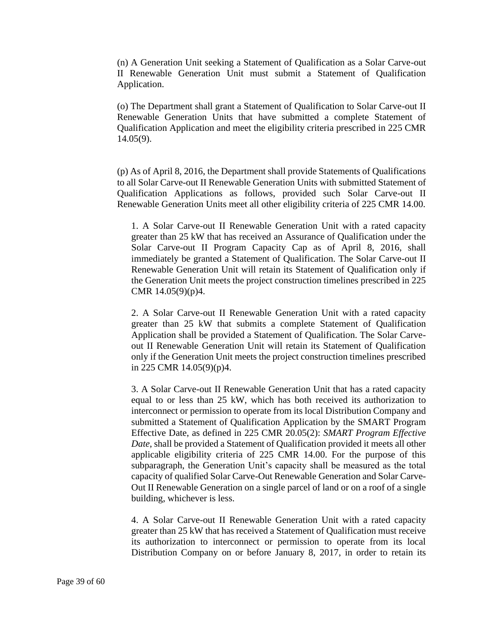(n) A Generation Unit seeking a Statement of Qualification as a Solar Carve-out II Renewable Generation Unit must submit a Statement of Qualification Application.

(o) The Department shall grant a Statement of Qualification to Solar Carve-out II Renewable Generation Units that have submitted a complete Statement of Qualification Application and meet the eligibility criteria prescribed in 225 CMR 14.05(9).

(p) As of April 8, 2016, the Department shall provide Statements of Qualifications to all Solar Carve-out II Renewable Generation Units with submitted Statement of Qualification Applications as follows, provided such Solar Carve-out II Renewable Generation Units meet all other eligibility criteria of 225 CMR 14.00.

1. A Solar Carve-out II Renewable Generation Unit with a rated capacity greater than 25 kW that has received an Assurance of Qualification under the Solar Carve-out II Program Capacity Cap as of April 8, 2016, shall immediately be granted a Statement of Qualification. The Solar Carve-out II Renewable Generation Unit will retain its Statement of Qualification only if the Generation Unit meets the project construction timelines prescribed in 225 CMR 14.05(9)(p)4.

2. A Solar Carve-out II Renewable Generation Unit with a rated capacity greater than 25 kW that submits a complete Statement of Qualification Application shall be provided a Statement of Qualification. The Solar Carveout II Renewable Generation Unit will retain its Statement of Qualification only if the Generation Unit meets the project construction timelines prescribed in 225 CMR 14.05(9)(p)4.

3. A Solar Carve-out II Renewable Generation Unit that has a rated capacity equal to or less than 25 kW, which has both received its authorization to interconnect or permission to operate from its local Distribution Company and submitted a Statement of Qualification Application by the SMART Program Effective Date, as defined in 225 CMR 20.05(2): *SMART Program Effective Date*, shall be provided a Statement of Qualification provided it meets all other applicable eligibility criteria of 225 CMR 14.00. For the purpose of this subparagraph, the Generation Unit's capacity shall be measured as the total capacity of qualified Solar Carve-Out Renewable Generation and Solar Carve-Out II Renewable Generation on a single parcel of land or on a roof of a single building, whichever is less.

4. A Solar Carve-out II Renewable Generation Unit with a rated capacity greater than 25 kW that has received a Statement of Qualification must receive its authorization to interconnect or permission to operate from its local Distribution Company on or before January 8, 2017, in order to retain its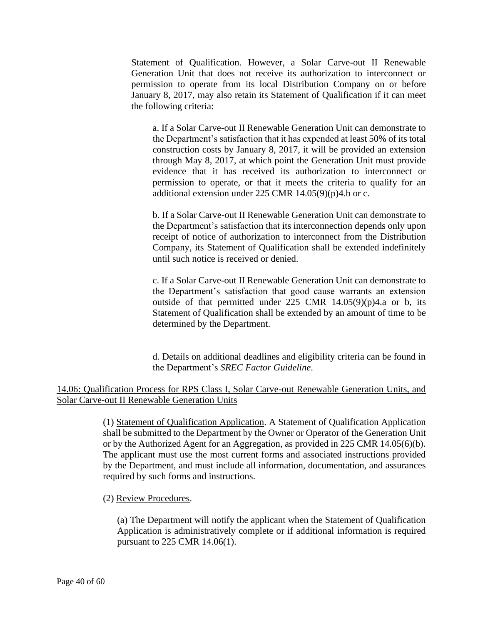Statement of Qualification. However, a Solar Carve-out II Renewable Generation Unit that does not receive its authorization to interconnect or permission to operate from its local Distribution Company on or before January 8, 2017, may also retain its Statement of Qualification if it can meet the following criteria:

a. If a Solar Carve-out II Renewable Generation Unit can demonstrate to the Department's satisfaction that it has expended at least 50% of its total construction costs by January 8, 2017, it will be provided an extension through May 8, 2017, at which point the Generation Unit must provide evidence that it has received its authorization to interconnect or permission to operate, or that it meets the criteria to qualify for an additional extension under 225 CMR 14.05(9)(p)4.b or c.

b. If a Solar Carve-out II Renewable Generation Unit can demonstrate to the Department's satisfaction that its interconnection depends only upon receipt of notice of authorization to interconnect from the Distribution Company, its Statement of Qualification shall be extended indefinitely until such notice is received or denied.

c. If a Solar Carve-out II Renewable Generation Unit can demonstrate to the Department's satisfaction that good cause warrants an extension outside of that permitted under 225 CMR 14.05(9)(p)4.a or b, its Statement of Qualification shall be extended by an amount of time to be determined by the Department.

d. Details on additional deadlines and eligibility criteria can be found in the Department's *SREC Factor Guideline*.

# 14.06: Qualification Process for RPS Class I, Solar Carve-out Renewable Generation Units, and Solar Carve-out II Renewable Generation Units

(1) Statement of Qualification Application. A Statement of Qualification Application shall be submitted to the Department by the Owner or Operator of the Generation Unit or by the Authorized Agent for an Aggregation, as provided in 225 CMR 14.05(6)(b). The applicant must use the most current forms and associated instructions provided by the Department, and must include all information, documentation, and assurances required by such forms and instructions.

# (2) Review Procedures.

(a) The Department will notify the applicant when the Statement of Qualification Application is administratively complete or if additional information is required pursuant to 225 CMR 14.06(1).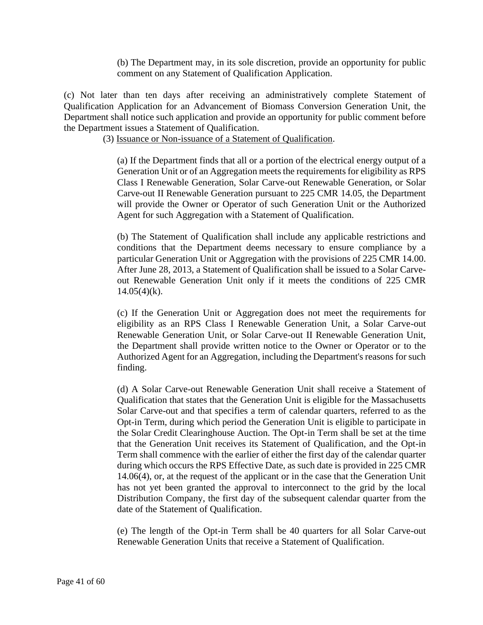(b) The Department may, in its sole discretion, provide an opportunity for public comment on any Statement of Qualification Application.

(c) Not later than ten days after receiving an administratively complete Statement of Qualification Application for an Advancement of Biomass Conversion Generation Unit, the Department shall notice such application and provide an opportunity for public comment before the Department issues a Statement of Qualification.

(3) Issuance or Non-issuance of a Statement of Qualification.

(a) If the Department finds that all or a portion of the electrical energy output of a Generation Unit or of an Aggregation meets the requirements for eligibility as RPS Class I Renewable Generation, Solar Carve-out Renewable Generation, or Solar Carve-out II Renewable Generation pursuant to 225 CMR 14.05, the Department will provide the Owner or Operator of such Generation Unit or the Authorized Agent for such Aggregation with a Statement of Qualification.

(b) The Statement of Qualification shall include any applicable restrictions and conditions that the Department deems necessary to ensure compliance by a particular Generation Unit or Aggregation with the provisions of 225 CMR 14.00. After June 28, 2013, a Statement of Qualification shall be issued to a Solar Carveout Renewable Generation Unit only if it meets the conditions of 225 CMR  $14.05(4)$ (k).

(c) If the Generation Unit or Aggregation does not meet the requirements for eligibility as an RPS Class I Renewable Generation Unit, a Solar Carve-out Renewable Generation Unit, or Solar Carve-out II Renewable Generation Unit, the Department shall provide written notice to the Owner or Operator or to the Authorized Agent for an Aggregation, including the Department's reasons for such finding.

(d) A Solar Carve-out Renewable Generation Unit shall receive a Statement of Qualification that states that the Generation Unit is eligible for the Massachusetts Solar Carve-out and that specifies a term of calendar quarters, referred to as the Opt-in Term, during which period the Generation Unit is eligible to participate in the Solar Credit Clearinghouse Auction. The Opt-in Term shall be set at the time that the Generation Unit receives its Statement of Qualification, and the Opt-in Term shall commence with the earlier of either the first day of the calendar quarter during which occurs the RPS Effective Date, as such date is provided in 225 CMR 14.06(4), or, at the request of the applicant or in the case that the Generation Unit has not yet been granted the approval to interconnect to the grid by the local Distribution Company, the first day of the subsequent calendar quarter from the date of the Statement of Qualification.

(e) The length of the Opt-in Term shall be 40 quarters for all Solar Carve-out Renewable Generation Units that receive a Statement of Qualification.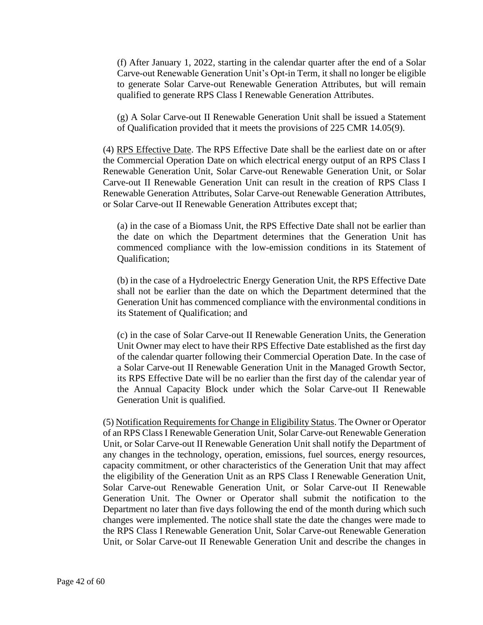(f) After January 1, 2022, starting in the calendar quarter after the end of a Solar Carve-out Renewable Generation Unit's Opt-in Term, it shall no longer be eligible to generate Solar Carve-out Renewable Generation Attributes, but will remain qualified to generate RPS Class I Renewable Generation Attributes.

(g) A Solar Carve-out II Renewable Generation Unit shall be issued a Statement of Qualification provided that it meets the provisions of 225 CMR 14.05(9).

(4) RPS Effective Date. The RPS Effective Date shall be the earliest date on or after the Commercial Operation Date on which electrical energy output of an RPS Class I Renewable Generation Unit, Solar Carve-out Renewable Generation Unit, or Solar Carve-out II Renewable Generation Unit can result in the creation of RPS Class I Renewable Generation Attributes, Solar Carve-out Renewable Generation Attributes, or Solar Carve-out II Renewable Generation Attributes except that;

(a) in the case of a Biomass Unit, the RPS Effective Date shall not be earlier than the date on which the Department determines that the Generation Unit has commenced compliance with the low-emission conditions in its Statement of Qualification;

(b) in the case of a Hydroelectric Energy Generation Unit, the RPS Effective Date shall not be earlier than the date on which the Department determined that the Generation Unit has commenced compliance with the environmental conditions in its Statement of Qualification; and

(c) in the case of Solar Carve-out II Renewable Generation Units, the Generation Unit Owner may elect to have their RPS Effective Date established as the first day of the calendar quarter following their Commercial Operation Date. In the case of a Solar Carve-out II Renewable Generation Unit in the Managed Growth Sector, its RPS Effective Date will be no earlier than the first day of the calendar year of the Annual Capacity Block under which the Solar Carve-out II Renewable Generation Unit is qualified.

(5) Notification Requirements for Change in Eligibility Status. The Owner or Operator of an RPS Class I Renewable Generation Unit, Solar Carve-out Renewable Generation Unit, or Solar Carve-out II Renewable Generation Unit shall notify the Department of any changes in the technology, operation, emissions, fuel sources, energy resources, capacity commitment, or other characteristics of the Generation Unit that may affect the eligibility of the Generation Unit as an RPS Class I Renewable Generation Unit, Solar Carve-out Renewable Generation Unit, or Solar Carve-out II Renewable Generation Unit. The Owner or Operator shall submit the notification to the Department no later than five days following the end of the month during which such changes were implemented. The notice shall state the date the changes were made to the RPS Class I Renewable Generation Unit, Solar Carve-out Renewable Generation Unit, or Solar Carve-out II Renewable Generation Unit and describe the changes in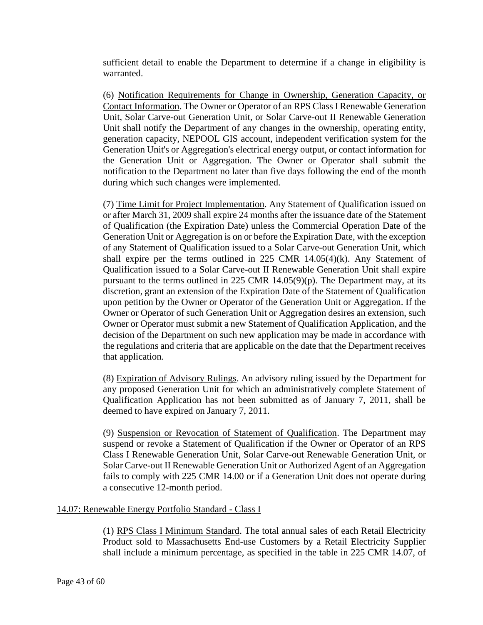sufficient detail to enable the Department to determine if a change in eligibility is warranted.

(6) Notification Requirements for Change in Ownership, Generation Capacity, or Contact Information. The Owner or Operator of an RPS Class I Renewable Generation Unit, Solar Carve-out Generation Unit, or Solar Carve-out II Renewable Generation Unit shall notify the Department of any changes in the ownership, operating entity, generation capacity, NEPOOL GIS account, independent verification system for the Generation Unit's or Aggregation's electrical energy output, or contact information for the Generation Unit or Aggregation. The Owner or Operator shall submit the notification to the Department no later than five days following the end of the month during which such changes were implemented.

(7) Time Limit for Project Implementation. Any Statement of Qualification issued on or after March 31, 2009 shall expire 24 months after the issuance date of the Statement of Qualification (the Expiration Date) unless the Commercial Operation Date of the Generation Unit or Aggregation is on or before the Expiration Date, with the exception of any Statement of Qualification issued to a Solar Carve-out Generation Unit, which shall expire per the terms outlined in 225 CMR  $14.05(4)$ (k). Any Statement of Qualification issued to a Solar Carve-out II Renewable Generation Unit shall expire pursuant to the terms outlined in 225 CMR  $14.05(9)(p)$ . The Department may, at its discretion, grant an extension of the Expiration Date of the Statement of Qualification upon petition by the Owner or Operator of the Generation Unit or Aggregation. If the Owner or Operator of such Generation Unit or Aggregation desires an extension, such Owner or Operator must submit a new Statement of Qualification Application, and the decision of the Department on such new application may be made in accordance with the regulations and criteria that are applicable on the date that the Department receives that application.

(8) Expiration of Advisory Rulings. An advisory ruling issued by the Department for any proposed Generation Unit for which an administratively complete Statement of Qualification Application has not been submitted as of January 7, 2011, shall be deemed to have expired on January 7, 2011.

(9) Suspension or Revocation of Statement of Qualification. The Department may suspend or revoke a Statement of Qualification if the Owner or Operator of an RPS Class I Renewable Generation Unit, Solar Carve-out Renewable Generation Unit, or Solar Carve-out II Renewable Generation Unit or Authorized Agent of an Aggregation fails to comply with 225 CMR 14.00 or if a Generation Unit does not operate during a consecutive 12-month period.

### 14.07: Renewable Energy Portfolio Standard - Class I

(1) RPS Class I Minimum Standard. The total annual sales of each Retail Electricity Product sold to Massachusetts End-use Customers by a Retail Electricity Supplier shall include a minimum percentage, as specified in the table in 225 CMR 14.07, of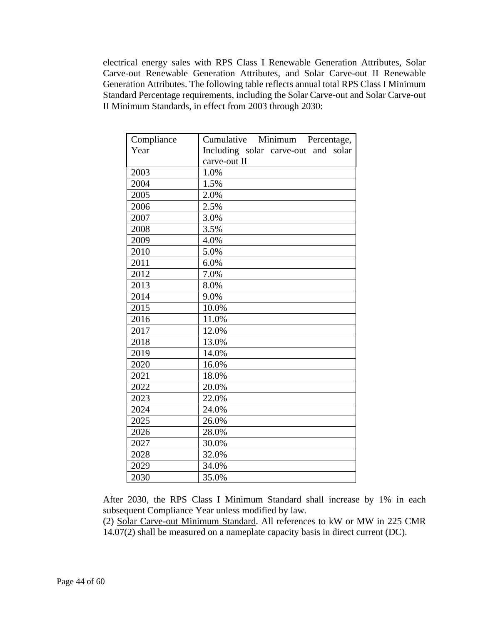electrical energy sales with RPS Class I Renewable Generation Attributes, Solar Carve-out Renewable Generation Attributes, and Solar Carve-out II Renewable Generation Attributes. The following table reflects annual total RPS Class I Minimum Standard Percentage requirements, including the Solar Carve-out and Solar Carve-out II Minimum Standards, in effect from 2003 through 2030:

| Compliance | Cumulative Minimum Percentage,      |
|------------|-------------------------------------|
| Year       | Including solar carve-out and solar |
|            | carve-out II                        |
| 2003       | 1.0%                                |
| 2004       | 1.5%                                |
| 2005       | 2.0%                                |
| 2006       | 2.5%                                |
| 2007       | 3.0%                                |
| 2008       | 3.5%                                |
| 2009       | 4.0%                                |
| 2010       | 5.0%                                |
| 2011       | 6.0%                                |
| 2012       | 7.0%                                |
| 2013       | 8.0%                                |
| 2014       | 9.0%                                |
| 2015       | 10.0%                               |
| 2016       | 11.0%                               |
| 2017       | 12.0%                               |
| 2018       | 13.0%                               |
| 2019       | 14.0%                               |
| 2020       | 16.0%                               |
| 2021       | 18.0%                               |
| 2022       | 20.0%                               |
| 2023       | 22.0%                               |
| 2024       | 24.0%                               |
| 2025       | 26.0%                               |
| 2026       | 28.0%                               |
| 2027       | 30.0%                               |
| 2028       | 32.0%                               |
| 2029       | 34.0%                               |
| 2030       | 35.0%                               |

After 2030, the RPS Class I Minimum Standard shall increase by 1% in each subsequent Compliance Year unless modified by law.

(2) Solar Carve-out Minimum Standard. All references to kW or MW in 225 CMR 14.07(2) shall be measured on a nameplate capacity basis in direct current (DC).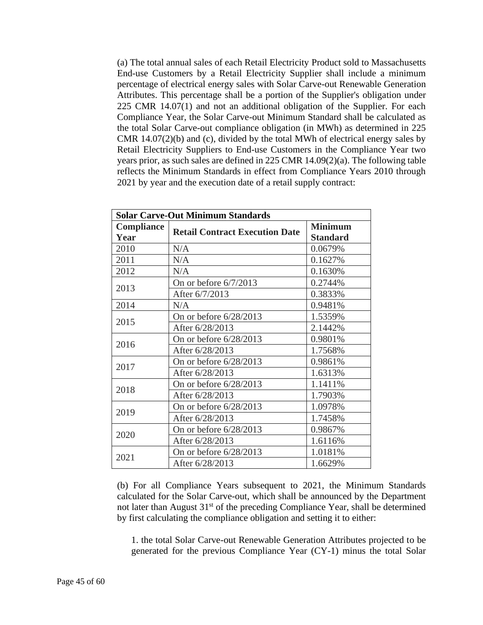(a) The total annual sales of each Retail Electricity Product sold to Massachusetts End-use Customers by a Retail Electricity Supplier shall include a minimum percentage of electrical energy sales with Solar Carve-out Renewable Generation Attributes. This percentage shall be a portion of the Supplier's obligation under 225 CMR 14.07(1) and not an additional obligation of the Supplier. For each Compliance Year, the Solar Carve-out Minimum Standard shall be calculated as the total Solar Carve-out compliance obligation (in MWh) as determined in 225 CMR 14.07(2)(b) and (c), divided by the total MWh of electrical energy sales by Retail Electricity Suppliers to End-use Customers in the Compliance Year two years prior, as such sales are defined in 225 CMR 14.09(2)(a). The following table reflects the Minimum Standards in effect from Compliance Years 2010 through 2021 by year and the execution date of a retail supply contract:

| <b>Solar Carve-Out Minimum Standards</b> |                                       |                 |
|------------------------------------------|---------------------------------------|-----------------|
| <b>Compliance</b>                        |                                       | <b>Minimum</b>  |
| Year                                     | <b>Retail Contract Execution Date</b> | <b>Standard</b> |
| 2010                                     | N/A                                   | 0.0679%         |
| 2011                                     | N/A                                   | 0.1627%         |
| 2012                                     | N/A                                   | 0.1630%         |
|                                          | On or before $6/7/2013$               | 0.2744%         |
| 2013                                     | After 6/7/2013                        | 0.3833%         |
| 2014                                     | N/A                                   | 0.9481%         |
|                                          | On or before $6/28/2013$              | 1.5359%         |
| 2015                                     | After 6/28/2013                       | 2.1442%         |
|                                          | On or before $6/28/2013$              | 0.9801%         |
| 2016                                     | After 6/28/2013                       | 1.7568%         |
|                                          | On or before 6/28/2013                | 0.9861%         |
| 2017                                     | After 6/28/2013                       | 1.6313%         |
|                                          | On or before $6/28/2013$              | 1.1411%         |
| 2018                                     | After 6/28/2013                       | 1.7903%         |
| 2019                                     | On or before 6/28/2013                | 1.0978%         |
|                                          | After 6/28/2013                       | 1.7458%         |
|                                          | On or before $6/28/2013$              | 0.9867%         |
| 2020                                     | After 6/28/2013                       | 1.6116%         |
|                                          | On or before $6/28/2013$              | 1.0181%         |
| 2021                                     | After 6/28/2013                       | 1.6629%         |

(b) For all Compliance Years subsequent to 2021, the Minimum Standards calculated for the Solar Carve-out, which shall be announced by the Department not later than August  $31<sup>st</sup>$  of the preceding Compliance Year, shall be determined by first calculating the compliance obligation and setting it to either:

1. the total Solar Carve-out Renewable Generation Attributes projected to be generated for the previous Compliance Year (CY-1) minus the total Solar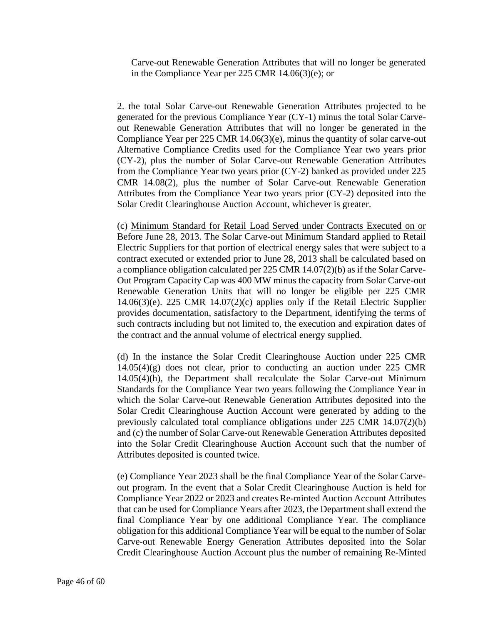Carve-out Renewable Generation Attributes that will no longer be generated in the Compliance Year per 225 CMR 14.06(3)(e); or

2. the total Solar Carve-out Renewable Generation Attributes projected to be generated for the previous Compliance Year (CY-1) minus the total Solar Carveout Renewable Generation Attributes that will no longer be generated in the Compliance Year per 225 CMR 14.06(3)(e), minus the quantity of solar carve-out Alternative Compliance Credits used for the Compliance Year two years prior (CY-2), plus the number of Solar Carve-out Renewable Generation Attributes from the Compliance Year two years prior (CY-2) banked as provided under 225 CMR 14.08(2), plus the number of Solar Carve-out Renewable Generation Attributes from the Compliance Year two years prior (CY-2) deposited into the Solar Credit Clearinghouse Auction Account, whichever is greater.

(c) Minimum Standard for Retail Load Served under Contracts Executed on or Before June 28, 2013. The Solar Carve-out Minimum Standard applied to Retail Electric Suppliers for that portion of electrical energy sales that were subject to a contract executed or extended prior to June 28, 2013 shall be calculated based on a compliance obligation calculated per 225 CMR 14.07(2)(b) as if the Solar Carve-Out Program Capacity Cap was 400 MW minus the capacity from Solar Carve-out Renewable Generation Units that will no longer be eligible per 225 CMR 14.06(3)(e). 225 CMR 14.07(2)(c) applies only if the Retail Electric Supplier provides documentation, satisfactory to the Department, identifying the terms of such contracts including but not limited to, the execution and expiration dates of the contract and the annual volume of electrical energy supplied.

(d) In the instance the Solar Credit Clearinghouse Auction under 225 CMR 14.05(4)(g) does not clear, prior to conducting an auction under 225 CMR 14.05(4)(h), the Department shall recalculate the Solar Carve-out Minimum Standards for the Compliance Year two years following the Compliance Year in which the Solar Carve-out Renewable Generation Attributes deposited into the Solar Credit Clearinghouse Auction Account were generated by adding to the previously calculated total compliance obligations under 225 CMR 14.07(2)(b) and (c) the number of Solar Carve-out Renewable Generation Attributes deposited into the Solar Credit Clearinghouse Auction Account such that the number of Attributes deposited is counted twice.

(e) Compliance Year 2023 shall be the final Compliance Year of the Solar Carveout program. In the event that a Solar Credit Clearinghouse Auction is held for Compliance Year 2022 or 2023 and creates Re-minted Auction Account Attributes that can be used for Compliance Years after 2023, the Department shall extend the final Compliance Year by one additional Compliance Year. The compliance obligation for this additional Compliance Year will be equal to the number of Solar Carve-out Renewable Energy Generation Attributes deposited into the Solar Credit Clearinghouse Auction Account plus the number of remaining Re-Minted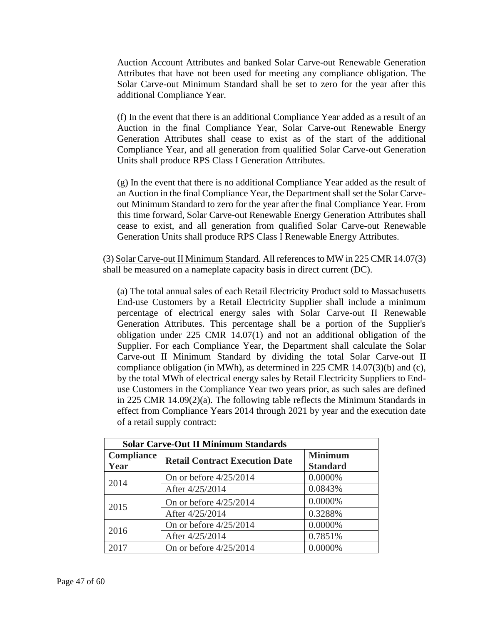Auction Account Attributes and banked Solar Carve-out Renewable Generation Attributes that have not been used for meeting any compliance obligation. The Solar Carve-out Minimum Standard shall be set to zero for the year after this additional Compliance Year.

(f) In the event that there is an additional Compliance Year added as a result of an Auction in the final Compliance Year, Solar Carve-out Renewable Energy Generation Attributes shall cease to exist as of the start of the additional Compliance Year, and all generation from qualified Solar Carve-out Generation Units shall produce RPS Class I Generation Attributes.

(g) In the event that there is no additional Compliance Year added as the result of an Auction in the final Compliance Year, the Department shall set the Solar Carveout Minimum Standard to zero for the year after the final Compliance Year. From this time forward, Solar Carve-out Renewable Energy Generation Attributes shall cease to exist, and all generation from qualified Solar Carve-out Renewable Generation Units shall produce RPS Class I Renewable Energy Attributes.

(3) Solar Carve-out II Minimum Standard. All references to MW in 225 CMR 14.07(3) shall be measured on a nameplate capacity basis in direct current (DC).

(a) The total annual sales of each Retail Electricity Product sold to Massachusetts End-use Customers by a Retail Electricity Supplier shall include a minimum percentage of electrical energy sales with Solar Carve-out II Renewable Generation Attributes. This percentage shall be a portion of the Supplier's obligation under 225 CMR 14.07(1) and not an additional obligation of the Supplier. For each Compliance Year, the Department shall calculate the Solar Carve-out II Minimum Standard by dividing the total Solar Carve-out II compliance obligation (in MWh), as determined in 225 CMR 14.07(3)(b) and (c), by the total MWh of electrical energy sales by Retail Electricity Suppliers to Enduse Customers in the Compliance Year two years prior, as such sales are defined in 225 CMR 14.09(2)(a). The following table reflects the Minimum Standards in effect from Compliance Years 2014 through 2021 by year and the execution date of a retail supply contract:

| <b>Solar Carve-Out II Minimum Standards</b> |                                       |                 |
|---------------------------------------------|---------------------------------------|-----------------|
| <b>Compliance</b>                           | <b>Retail Contract Execution Date</b> | <b>Minimum</b>  |
| Year                                        |                                       | <b>Standard</b> |
| 2014                                        | On or before $4/25/2014$              | 0.0000%         |
|                                             | After 4/25/2014                       | 0.0843%         |
| 2015                                        | On or before $4/25/2014$              | 0.0000%         |
|                                             | After 4/25/2014                       | 0.3288%         |
| 2016                                        | On or before $4/25/2014$              | 0.0000%         |
|                                             | After 4/25/2014                       | 0.7851%         |
| 2017                                        | On or before $4/25/2014$              | 0.0000%         |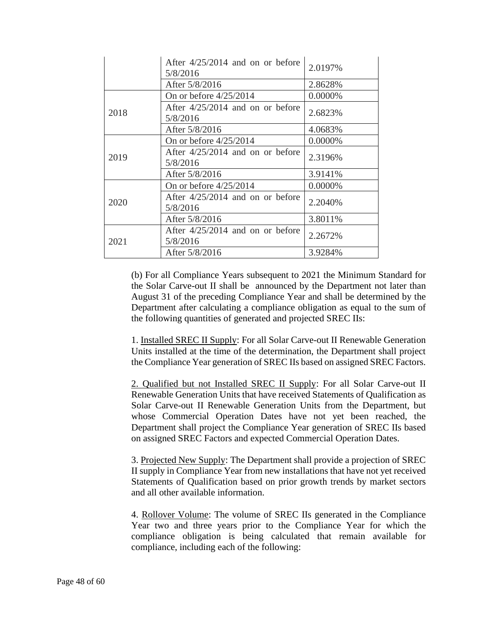|      | After $4/25/2014$ and on or before<br>5/8/2016 | 2.0197% |
|------|------------------------------------------------|---------|
|      | After 5/8/2016                                 | 2.8628% |
|      | On or before $4/25/2014$                       | 0.0000% |
| 2018 | After $4/25/2014$ and on or before<br>5/8/2016 | 2.6823% |
|      | After 5/8/2016                                 | 4.0683% |
| 2019 | On or before $4/25/2014$                       | 0.0000% |
|      | After $4/25/2014$ and on or before<br>5/8/2016 | 2.3196% |
|      | After 5/8/2016                                 | 3.9141% |
| 2020 | On or before $4/25/2014$                       | 0.0000% |
|      | After $4/25/2014$ and on or before<br>5/8/2016 | 2.2040% |
|      | After 5/8/2016                                 | 3.8011% |
| 2021 | After $4/25/2014$ and on or before<br>5/8/2016 | 2.2672% |
|      | After 5/8/2016                                 | 3.9284% |

(b) For all Compliance Years subsequent to 2021 the Minimum Standard for the Solar Carve-out II shall be announced by the Department not later than August 31 of the preceding Compliance Year and shall be determined by the Department after calculating a compliance obligation as equal to the sum of the following quantities of generated and projected SREC IIs:

1. Installed SREC II Supply: For all Solar Carve-out II Renewable Generation Units installed at the time of the determination, the Department shall project the Compliance Year generation of SREC IIs based on assigned SREC Factors.

2. Qualified but not Installed SREC II Supply: For all Solar Carve-out II Renewable Generation Units that have received Statements of Qualification as Solar Carve-out II Renewable Generation Units from the Department, but whose Commercial Operation Dates have not yet been reached, the Department shall project the Compliance Year generation of SREC IIs based on assigned SREC Factors and expected Commercial Operation Dates.

3. Projected New Supply: The Department shall provide a projection of SREC II supply in Compliance Year from new installations that have not yet received Statements of Qualification based on prior growth trends by market sectors and all other available information.

4. Rollover Volume: The volume of SREC IIs generated in the Compliance Year two and three years prior to the Compliance Year for which the compliance obligation is being calculated that remain available for compliance, including each of the following: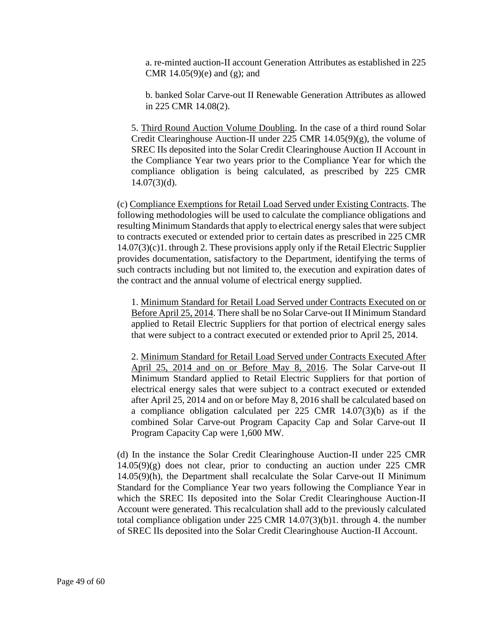a. re-minted auction-II account Generation Attributes as established in 225 CMR  $14.05(9)(e)$  and  $(g)$ ; and

b. banked Solar Carve-out II Renewable Generation Attributes as allowed in 225 CMR 14.08(2).

5. Third Round Auction Volume Doubling. In the case of a third round Solar Credit Clearinghouse Auction-II under 225 CMR 14.05(9)(g), the volume of SREC IIs deposited into the Solar Credit Clearinghouse Auction II Account in the Compliance Year two years prior to the Compliance Year for which the compliance obligation is being calculated, as prescribed by 225 CMR  $14.07(3)(d)$ .

(c) Compliance Exemptions for Retail Load Served under Existing Contracts. The following methodologies will be used to calculate the compliance obligations and resulting Minimum Standards that apply to electrical energy sales that were subject to contracts executed or extended prior to certain dates as prescribed in 225 CMR 14.07(3)(c)1. through 2. These provisions apply only if the Retail Electric Supplier provides documentation, satisfactory to the Department, identifying the terms of such contracts including but not limited to, the execution and expiration dates of the contract and the annual volume of electrical energy supplied.

1. Minimum Standard for Retail Load Served under Contracts Executed on or Before April 25, 2014. There shall be no Solar Carve-out II Minimum Standard applied to Retail Electric Suppliers for that portion of electrical energy sales that were subject to a contract executed or extended prior to April 25, 2014.

2. Minimum Standard for Retail Load Served under Contracts Executed After April 25, 2014 and on or Before May 8, 2016. The Solar Carve-out II Minimum Standard applied to Retail Electric Suppliers for that portion of electrical energy sales that were subject to a contract executed or extended after April 25, 2014 and on or before May 8, 2016 shall be calculated based on a compliance obligation calculated per 225 CMR 14.07(3)(b) as if the combined Solar Carve-out Program Capacity Cap and Solar Carve-out II Program Capacity Cap were 1,600 MW.

(d) In the instance the Solar Credit Clearinghouse Auction-II under 225 CMR 14.05(9)(g) does not clear, prior to conducting an auction under 225 CMR 14.05(9)(h), the Department shall recalculate the Solar Carve-out II Minimum Standard for the Compliance Year two years following the Compliance Year in which the SREC IIs deposited into the Solar Credit Clearinghouse Auction-II Account were generated. This recalculation shall add to the previously calculated total compliance obligation under 225 CMR 14.07(3)(b)1. through 4. the number of SREC IIs deposited into the Solar Credit Clearinghouse Auction-II Account.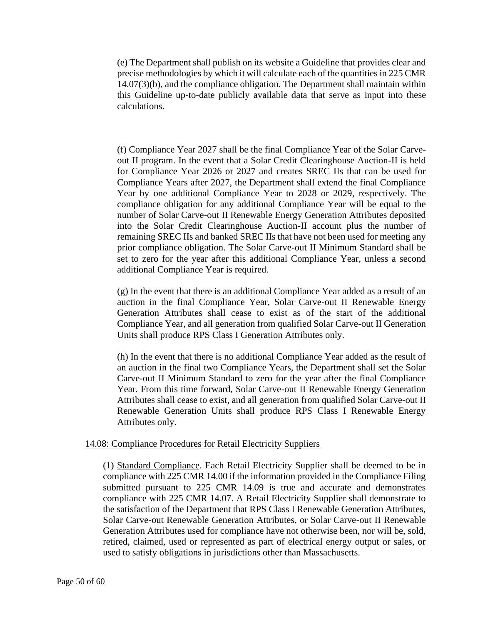(e) The Department shall publish on its website a Guideline that provides clear and precise methodologies by which it will calculate each of the quantities in 225 CMR 14.07(3)(b), and the compliance obligation. The Department shall maintain within this Guideline up-to-date publicly available data that serve as input into these calculations.

(f) Compliance Year 2027 shall be the final Compliance Year of the Solar Carveout II program. In the event that a Solar Credit Clearinghouse Auction-II is held for Compliance Year 2026 or 2027 and creates SREC IIs that can be used for Compliance Years after 2027, the Department shall extend the final Compliance Year by one additional Compliance Year to 2028 or 2029, respectively. The compliance obligation for any additional Compliance Year will be equal to the number of Solar Carve-out II Renewable Energy Generation Attributes deposited into the Solar Credit Clearinghouse Auction-II account plus the number of remaining SREC IIs and banked SREC IIs that have not been used for meeting any prior compliance obligation. The Solar Carve-out II Minimum Standard shall be set to zero for the year after this additional Compliance Year, unless a second additional Compliance Year is required.

(g) In the event that there is an additional Compliance Year added as a result of an auction in the final Compliance Year, Solar Carve-out II Renewable Energy Generation Attributes shall cease to exist as of the start of the additional Compliance Year, and all generation from qualified Solar Carve-out II Generation Units shall produce RPS Class I Generation Attributes only.

(h) In the event that there is no additional Compliance Year added as the result of an auction in the final two Compliance Years, the Department shall set the Solar Carve-out II Minimum Standard to zero for the year after the final Compliance Year. From this time forward, Solar Carve-out II Renewable Energy Generation Attributes shall cease to exist, and all generation from qualified Solar Carve-out II Renewable Generation Units shall produce RPS Class I Renewable Energy Attributes only.

### 14.08: Compliance Procedures for Retail Electricity Suppliers

(1) Standard Compliance. Each Retail Electricity Supplier shall be deemed to be in compliance with 225 CMR 14.00 if the information provided in the Compliance Filing submitted pursuant to 225 CMR 14.09 is true and accurate and demonstrates compliance with 225 CMR 14.07. A Retail Electricity Supplier shall demonstrate to the satisfaction of the Department that RPS Class I Renewable Generation Attributes, Solar Carve-out Renewable Generation Attributes, or Solar Carve-out II Renewable Generation Attributes used for compliance have not otherwise been, nor will be, sold, retired, claimed, used or represented as part of electrical energy output or sales, or used to satisfy obligations in jurisdictions other than Massachusetts.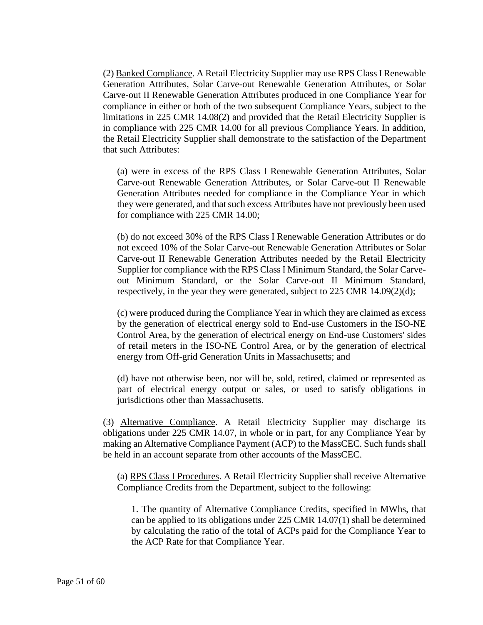(2) Banked Compliance. A Retail Electricity Supplier may use RPS Class I Renewable Generation Attributes, Solar Carve-out Renewable Generation Attributes, or Solar Carve-out II Renewable Generation Attributes produced in one Compliance Year for compliance in either or both of the two subsequent Compliance Years, subject to the limitations in 225 CMR 14.08(2) and provided that the Retail Electricity Supplier is in compliance with 225 CMR 14.00 for all previous Compliance Years. In addition, the Retail Electricity Supplier shall demonstrate to the satisfaction of the Department that such Attributes:

(a) were in excess of the RPS Class I Renewable Generation Attributes, Solar Carve-out Renewable Generation Attributes, or Solar Carve-out II Renewable Generation Attributes needed for compliance in the Compliance Year in which they were generated, and that such excess Attributes have not previously been used for compliance with 225 CMR 14.00;

(b) do not exceed 30% of the RPS Class I Renewable Generation Attributes or do not exceed 10% of the Solar Carve-out Renewable Generation Attributes or Solar Carve-out II Renewable Generation Attributes needed by the Retail Electricity Supplier for compliance with the RPS Class I Minimum Standard, the Solar Carveout Minimum Standard, or the Solar Carve-out II Minimum Standard, respectively, in the year they were generated, subject to 225 CMR 14.09(2)(d);

(c) were produced during the Compliance Year in which they are claimed as excess by the generation of electrical energy sold to End-use Customers in the ISO-NE Control Area, by the generation of electrical energy on End-use Customers' sides of retail meters in the ISO-NE Control Area, or by the generation of electrical energy from Off-grid Generation Units in Massachusetts; and

(d) have not otherwise been, nor will be, sold, retired, claimed or represented as part of electrical energy output or sales, or used to satisfy obligations in jurisdictions other than Massachusetts.

(3) Alternative Compliance. A Retail Electricity Supplier may discharge its obligations under 225 CMR 14.07, in whole or in part, for any Compliance Year by making an Alternative Compliance Payment (ACP) to the MassCEC. Such funds shall be held in an account separate from other accounts of the MassCEC.

(a) RPS Class I Procedures. A Retail Electricity Supplier shall receive Alternative Compliance Credits from the Department, subject to the following:

1. The quantity of Alternative Compliance Credits, specified in MWhs, that can be applied to its obligations under  $225$  CMR  $14.07(1)$  shall be determined by calculating the ratio of the total of ACPs paid for the Compliance Year to the ACP Rate for that Compliance Year.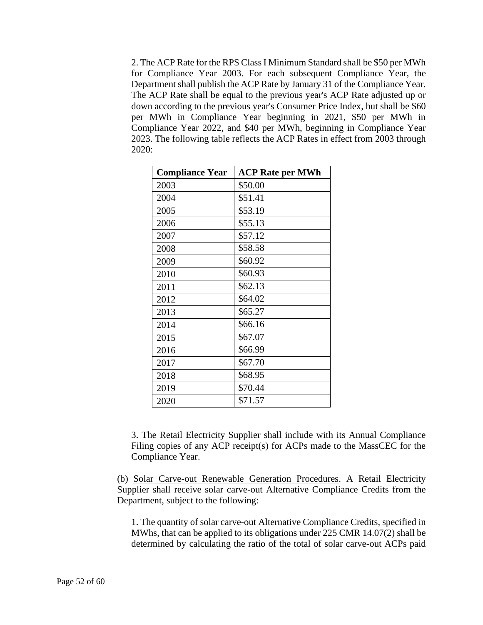2. The ACP Rate for the RPS Class I Minimum Standard shall be \$50 per MWh for Compliance Year 2003. For each subsequent Compliance Year, the Department shall publish the ACP Rate by January 31 of the Compliance Year. The ACP Rate shall be equal to the previous year's ACP Rate adjusted up or down according to the previous year's Consumer Price Index, but shall be \$60 per MWh in Compliance Year beginning in 2021, \$50 per MWh in Compliance Year 2022, and \$40 per MWh, beginning in Compliance Year 2023. The following table reflects the ACP Rates in effect from 2003 through 2020:

| <b>Compliance Year</b> | <b>ACP Rate per MWh</b> |
|------------------------|-------------------------|
| 2003                   | \$50.00                 |
| 2004                   | \$51.41                 |
| 2005                   | \$53.19                 |
| 2006                   | \$55.13                 |
| 2007                   | \$57.12                 |
| 2008                   | \$58.58                 |
| 2009                   | \$60.92                 |
| 2010                   | \$60.93                 |
| 2011                   | \$62.13                 |
| 2012                   | \$64.02                 |
| 2013                   | \$65.27                 |
| 2014                   | \$66.16                 |
| 2015                   | \$67.07                 |
| 2016                   | \$66.99                 |
| 2017                   | \$67.70                 |
| 2018                   | \$68.95                 |
| 2019                   | \$70.44                 |
| 2020                   | \$71.57                 |

3. The Retail Electricity Supplier shall include with its Annual Compliance Filing copies of any ACP receipt(s) for ACPs made to the MassCEC for the Compliance Year.

(b) Solar Carve-out Renewable Generation Procedures. A Retail Electricity Supplier shall receive solar carve-out Alternative Compliance Credits from the Department, subject to the following:

1. The quantity of solar carve-out Alternative Compliance Credits, specified in MWhs, that can be applied to its obligations under 225 CMR 14.07(2) shall be determined by calculating the ratio of the total of solar carve-out ACPs paid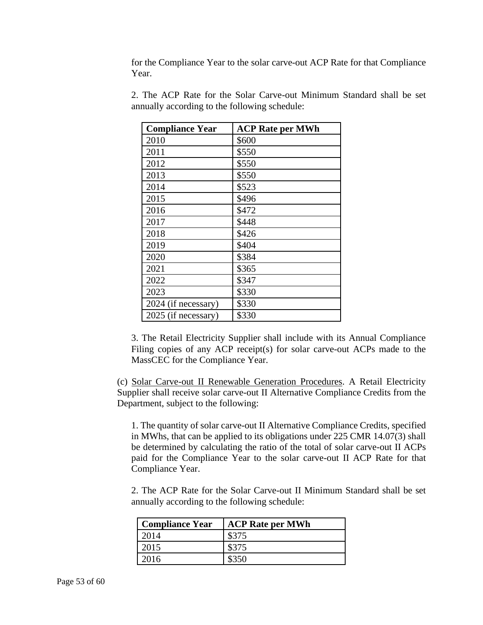for the Compliance Year to the solar carve-out ACP Rate for that Compliance Year.

| <b>Compliance Year</b> | <b>ACP Rate per MWh</b> |
|------------------------|-------------------------|
| 2010                   | \$600                   |
| 2011                   | \$550                   |
| 2012                   | \$550                   |
| 2013                   | \$550                   |
| 2014                   | \$523                   |
| 2015                   | \$496                   |
| 2016                   | \$472                   |
| 2017                   | \$448                   |
| 2018                   | \$426                   |
| 2019                   | \$404                   |
| 2020                   | \$384                   |
| 2021                   | \$365                   |
| 2022                   | \$347                   |
| 2023                   | \$330                   |
| 2024 (if necessary)    | \$330                   |
| 2025 (if necessary)    | \$330                   |

2. The ACP Rate for the Solar Carve-out Minimum Standard shall be set annually according to the following schedule:

3. The Retail Electricity Supplier shall include with its Annual Compliance Filing copies of any ACP receipt(s) for solar carve-out ACPs made to the MassCEC for the Compliance Year.

(c) Solar Carve-out II Renewable Generation Procedures. A Retail Electricity Supplier shall receive solar carve-out II Alternative Compliance Credits from the Department, subject to the following:

1. The quantity of solar carve-out II Alternative Compliance Credits, specified in MWhs, that can be applied to its obligations under 225 CMR 14.07(3) shall be determined by calculating the ratio of the total of solar carve-out II ACPs paid for the Compliance Year to the solar carve-out II ACP Rate for that Compliance Year.

2. The ACP Rate for the Solar Carve-out II Minimum Standard shall be set annually according to the following schedule:

| Compliance Year | <b>ACP Rate per MWh</b> |
|-----------------|-------------------------|
| 2014            | \$375                   |
| 2015            | \$375                   |
| 2016            | \$350                   |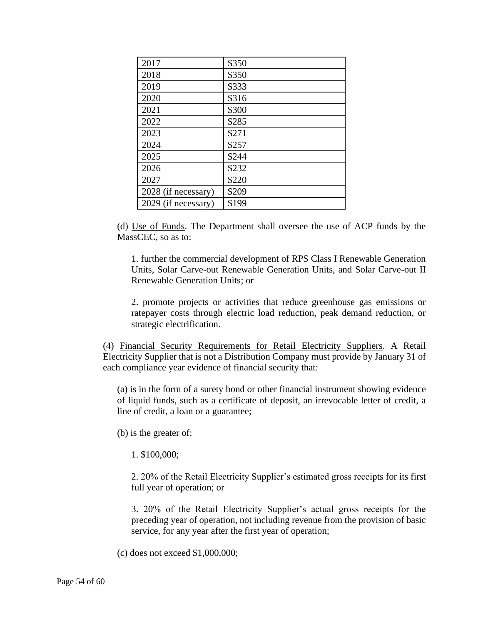| 2017                | \$350 |
|---------------------|-------|
| 2018                | \$350 |
| 2019                | \$333 |
| 2020                | \$316 |
| 2021                | \$300 |
| 2022                | \$285 |
| 2023                | \$271 |
| 2024                | \$257 |
| 2025                | \$244 |
| 2026                | \$232 |
| 2027                | \$220 |
| 2028 (if necessary) | \$209 |
| 2029 (if necessary) | \$199 |

(d) Use of Funds. The Department shall oversee the use of ACP funds by the MassCEC, so as to:

1. further the commercial development of RPS Class I Renewable Generation Units, Solar Carve-out Renewable Generation Units, and Solar Carve-out II Renewable Generation Units; or

2. promote projects or activities that reduce greenhouse gas emissions or ratepayer costs through electric load reduction, peak demand reduction, or strategic electrification.

(4) Financial Security Requirements for Retail Electricity Suppliers. A Retail Electricity Supplier that is not a Distribution Company must provide by January 31 of each compliance year evidence of financial security that:

(a) is in the form of a surety bond or other financial instrument showing evidence of liquid funds, such as a certificate of deposit, an irrevocable letter of credit, a line of credit, a loan or a guarantee;

(b) is the greater of:

1. \$100,000;

2. 20% of the Retail Electricity Supplier's estimated gross receipts for its first full year of operation; or

3. 20% of the Retail Electricity Supplier's actual gross receipts for the preceding year of operation, not including revenue from the provision of basic service, for any year after the first year of operation;

(c) does not exceed \$1,000,000;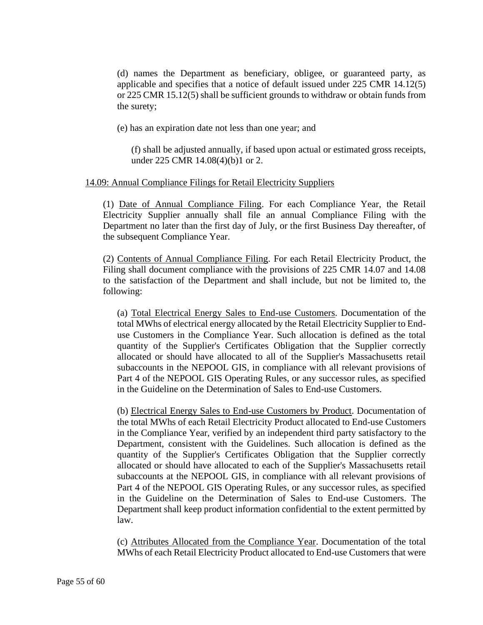(d) names the Department as beneficiary, obligee, or guaranteed party, as applicable and specifies that a notice of default issued under 225 CMR 14.12(5) or 225 CMR 15.12(5) shall be sufficient grounds to withdraw or obtain funds from the surety;

(e) has an expiration date not less than one year; and

(f) shall be adjusted annually, if based upon actual or estimated gross receipts, under 225 CMR 14.08(4)(b)1 or 2.

### 14.09: Annual Compliance Filings for Retail Electricity Suppliers

(1) Date of Annual Compliance Filing. For each Compliance Year, the Retail Electricity Supplier annually shall file an annual Compliance Filing with the Department no later than the first day of July, or the first Business Day thereafter, of the subsequent Compliance Year.

(2) Contents of Annual Compliance Filing. For each Retail Electricity Product, the Filing shall document compliance with the provisions of 225 CMR 14.07 and 14.08 to the satisfaction of the Department and shall include, but not be limited to, the following:

(a) Total Electrical Energy Sales to End-use Customers. Documentation of the total MWhs of electrical energy allocated by the Retail Electricity Supplier to Enduse Customers in the Compliance Year. Such allocation is defined as the total quantity of the Supplier's Certificates Obligation that the Supplier correctly allocated or should have allocated to all of the Supplier's Massachusetts retail subaccounts in the NEPOOL GIS, in compliance with all relevant provisions of Part 4 of the NEPOOL GIS Operating Rules, or any successor rules, as specified in the Guideline on the Determination of Sales to End-use Customers.

(b) Electrical Energy Sales to End-use Customers by Product. Documentation of the total MWhs of each Retail Electricity Product allocated to End-use Customers in the Compliance Year, verified by an independent third party satisfactory to the Department, consistent with the Guidelines. Such allocation is defined as the quantity of the Supplier's Certificates Obligation that the Supplier correctly allocated or should have allocated to each of the Supplier's Massachusetts retail subaccounts at the NEPOOL GIS, in compliance with all relevant provisions of Part 4 of the NEPOOL GIS Operating Rules, or any successor rules, as specified in the Guideline on the Determination of Sales to End-use Customers. The Department shall keep product information confidential to the extent permitted by law.

(c) Attributes Allocated from the Compliance Year. Documentation of the total MWhs of each Retail Electricity Product allocated to End-use Customers that were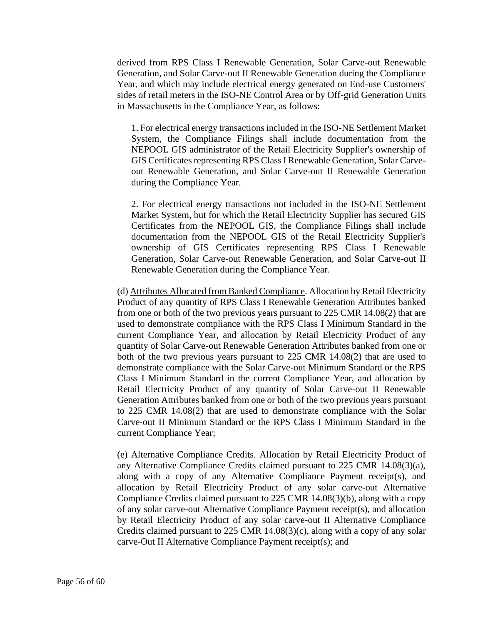derived from RPS Class I Renewable Generation, Solar Carve-out Renewable Generation, and Solar Carve-out II Renewable Generation during the Compliance Year, and which may include electrical energy generated on End-use Customers' sides of retail meters in the ISO-NE Control Area or by Off-grid Generation Units in Massachusetts in the Compliance Year, as follows:

1. For electrical energy transactions included in the ISO-NE Settlement Market System, the Compliance Filings shall include documentation from the NEPOOL GIS administrator of the Retail Electricity Supplier's ownership of GIS Certificates representing RPS Class I Renewable Generation, Solar Carveout Renewable Generation, and Solar Carve-out II Renewable Generation during the Compliance Year.

2. For electrical energy transactions not included in the ISO-NE Settlement Market System, but for which the Retail Electricity Supplier has secured GIS Certificates from the NEPOOL GIS, the Compliance Filings shall include documentation from the NEPOOL GIS of the Retail Electricity Supplier's ownership of GIS Certificates representing RPS Class I Renewable Generation, Solar Carve-out Renewable Generation, and Solar Carve-out II Renewable Generation during the Compliance Year.

(d) Attributes Allocated from Banked Compliance. Allocation by Retail Electricity Product of any quantity of RPS Class I Renewable Generation Attributes banked from one or both of the two previous years pursuant to 225 CMR 14.08(2) that are used to demonstrate compliance with the RPS Class I Minimum Standard in the current Compliance Year, and allocation by Retail Electricity Product of any quantity of Solar Carve-out Renewable Generation Attributes banked from one or both of the two previous years pursuant to 225 CMR 14.08(2) that are used to demonstrate compliance with the Solar Carve-out Minimum Standard or the RPS Class I Minimum Standard in the current Compliance Year, and allocation by Retail Electricity Product of any quantity of Solar Carve-out II Renewable Generation Attributes banked from one or both of the two previous years pursuant to 225 CMR 14.08(2) that are used to demonstrate compliance with the Solar Carve-out II Minimum Standard or the RPS Class I Minimum Standard in the current Compliance Year;

(e) Alternative Compliance Credits. Allocation by Retail Electricity Product of any Alternative Compliance Credits claimed pursuant to 225 CMR 14.08(3)(a), along with a copy of any Alternative Compliance Payment receipt(s), and allocation by Retail Electricity Product of any solar carve-out Alternative Compliance Credits claimed pursuant to 225 CMR 14.08(3)(b), along with a copy of any solar carve-out Alternative Compliance Payment receipt(s), and allocation by Retail Electricity Product of any solar carve-out II Alternative Compliance Credits claimed pursuant to 225 CMR 14.08(3)(c), along with a copy of any solar carve-Out II Alternative Compliance Payment receipt(s); and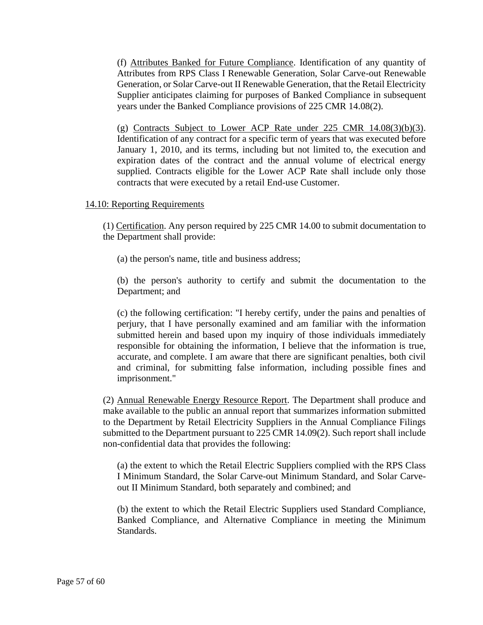(f) Attributes Banked for Future Compliance. Identification of any quantity of Attributes from RPS Class I Renewable Generation, Solar Carve-out Renewable Generation, or Solar Carve-out II Renewable Generation, that the Retail Electricity Supplier anticipates claiming for purposes of Banked Compliance in subsequent years under the Banked Compliance provisions of 225 CMR 14.08(2).

(g) Contracts Subject to Lower ACP Rate under  $225$  CMR  $14.08(3)(b)(3)$ . Identification of any contract for a specific term of years that was executed before January 1, 2010, and its terms, including but not limited to, the execution and expiration dates of the contract and the annual volume of electrical energy supplied. Contracts eligible for the Lower ACP Rate shall include only those contracts that were executed by a retail End-use Customer.

### 14.10: Reporting Requirements

(1) Certification. Any person required by 225 CMR 14.00 to submit documentation to the Department shall provide:

(a) the person's name, title and business address;

(b) the person's authority to certify and submit the documentation to the Department; and

(c) the following certification: "I hereby certify, under the pains and penalties of perjury, that I have personally examined and am familiar with the information submitted herein and based upon my inquiry of those individuals immediately responsible for obtaining the information, I believe that the information is true, accurate, and complete. I am aware that there are significant penalties, both civil and criminal, for submitting false information, including possible fines and imprisonment."

(2) Annual Renewable Energy Resource Report. The Department shall produce and make available to the public an annual report that summarizes information submitted to the Department by Retail Electricity Suppliers in the Annual Compliance Filings submitted to the Department pursuant to 225 CMR 14.09(2). Such report shall include non-confidential data that provides the following:

(a) the extent to which the Retail Electric Suppliers complied with the RPS Class I Minimum Standard, the Solar Carve-out Minimum Standard, and Solar Carveout II Minimum Standard, both separately and combined; and

(b) the extent to which the Retail Electric Suppliers used Standard Compliance, Banked Compliance, and Alternative Compliance in meeting the Minimum Standards.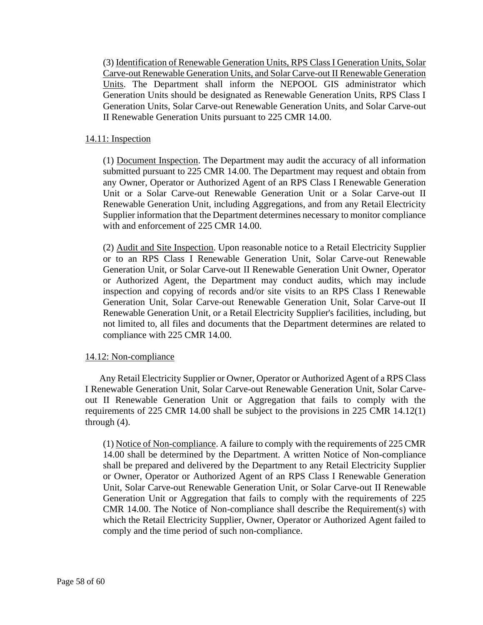(3) Identification of Renewable Generation Units, RPS Class I Generation Units, Solar Carve-out Renewable Generation Units, and Solar Carve-out II Renewable Generation Units. The Department shall inform the NEPOOL GIS administrator which Generation Units should be designated as Renewable Generation Units, RPS Class I Generation Units, Solar Carve-out Renewable Generation Units, and Solar Carve-out II Renewable Generation Units pursuant to 225 CMR 14.00.

### 14.11: Inspection

(1) Document Inspection. The Department may audit the accuracy of all information submitted pursuant to 225 CMR 14.00. The Department may request and obtain from any Owner, Operator or Authorized Agent of an RPS Class I Renewable Generation Unit or a Solar Carve-out Renewable Generation Unit or a Solar Carve-out II Renewable Generation Unit, including Aggregations, and from any Retail Electricity Supplier information that the Department determines necessary to monitor compliance with and enforcement of 225 CMR 14.00.

(2) Audit and Site Inspection. Upon reasonable notice to a Retail Electricity Supplier or to an RPS Class I Renewable Generation Unit, Solar Carve-out Renewable Generation Unit, or Solar Carve-out II Renewable Generation Unit Owner, Operator or Authorized Agent, the Department may conduct audits, which may include inspection and copying of records and/or site visits to an RPS Class I Renewable Generation Unit, Solar Carve-out Renewable Generation Unit, Solar Carve-out II Renewable Generation Unit, or a Retail Electricity Supplier's facilities, including, but not limited to, all files and documents that the Department determines are related to compliance with 225 CMR 14.00.

### 14.12: Non-compliance

Any Retail Electricity Supplier or Owner, Operator or Authorized Agent of a RPS Class I Renewable Generation Unit, Solar Carve-out Renewable Generation Unit, Solar Carveout II Renewable Generation Unit or Aggregation that fails to comply with the requirements of 225 CMR 14.00 shall be subject to the provisions in 225 CMR 14.12(1) through (4).

(1) Notice of Non-compliance. A failure to comply with the requirements of 225 CMR 14.00 shall be determined by the Department. A written Notice of Non-compliance shall be prepared and delivered by the Department to any Retail Electricity Supplier or Owner, Operator or Authorized Agent of an RPS Class I Renewable Generation Unit, Solar Carve-out Renewable Generation Unit, or Solar Carve-out II Renewable Generation Unit or Aggregation that fails to comply with the requirements of 225 CMR 14.00. The Notice of Non-compliance shall describe the Requirement(s) with which the Retail Electricity Supplier, Owner, Operator or Authorized Agent failed to comply and the time period of such non-compliance.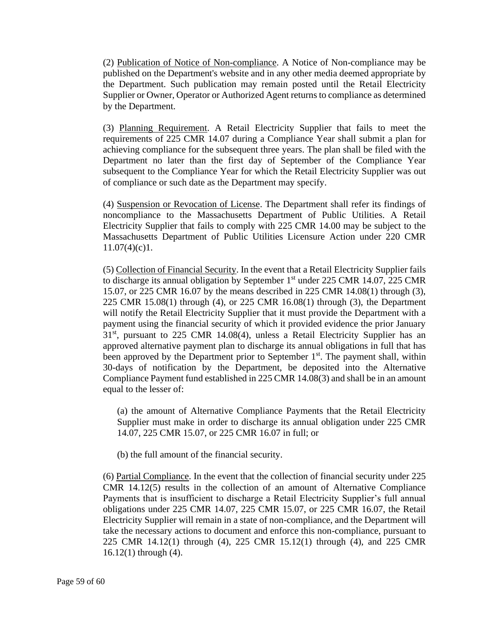(2) Publication of Notice of Non-compliance. A Notice of Non-compliance may be published on the Department's website and in any other media deemed appropriate by the Department. Such publication may remain posted until the Retail Electricity Supplier or Owner, Operator or Authorized Agent returns to compliance as determined by the Department.

(3) Planning Requirement. A Retail Electricity Supplier that fails to meet the requirements of 225 CMR 14.07 during a Compliance Year shall submit a plan for achieving compliance for the subsequent three years. The plan shall be filed with the Department no later than the first day of September of the Compliance Year subsequent to the Compliance Year for which the Retail Electricity Supplier was out of compliance or such date as the Department may specify.

(4) Suspension or Revocation of License. The Department shall refer its findings of noncompliance to the Massachusetts Department of Public Utilities. A Retail Electricity Supplier that fails to comply with 225 CMR 14.00 may be subject to the Massachusetts Department of Public Utilities Licensure Action under 220 CMR  $11.07(4)(c)1$ .

(5) Collection of Financial Security. In the event that a Retail Electricity Supplier fails to discharge its annual obligation by September  $1<sup>st</sup>$  under 225 CMR 14.07, 225 CMR 15.07, or 225 CMR 16.07 by the means described in 225 CMR 14.08(1) through (3), 225 CMR 15.08(1) through (4), or 225 CMR 16.08(1) through (3), the Department will notify the Retail Electricity Supplier that it must provide the Department with a payment using the financial security of which it provided evidence the prior January  $31<sup>st</sup>$ , pursuant to 225 CMR 14.08(4), unless a Retail Electricity Supplier has an approved alternative payment plan to discharge its annual obligations in full that has been approved by the Department prior to September  $1<sup>st</sup>$ . The payment shall, within 30-days of notification by the Department, be deposited into the Alternative Compliance Payment fund established in 225 CMR 14.08(3) and shall be in an amount equal to the lesser of:

(a) the amount of Alternative Compliance Payments that the Retail Electricity Supplier must make in order to discharge its annual obligation under 225 CMR 14.07, 225 CMR 15.07, or 225 CMR 16.07 in full; or

(b) the full amount of the financial security.

(6) Partial Compliance. In the event that the collection of financial security under 225 CMR 14.12(5) results in the collection of an amount of Alternative Compliance Payments that is insufficient to discharge a Retail Electricity Supplier's full annual obligations under 225 CMR 14.07, 225 CMR 15.07, or 225 CMR 16.07, the Retail Electricity Supplier will remain in a state of non-compliance, and the Department will take the necessary actions to document and enforce this non-compliance, pursuant to 225 CMR 14.12(1) through (4), 225 CMR 15.12(1) through (4), and 225 CMR 16.12(1) through (4).